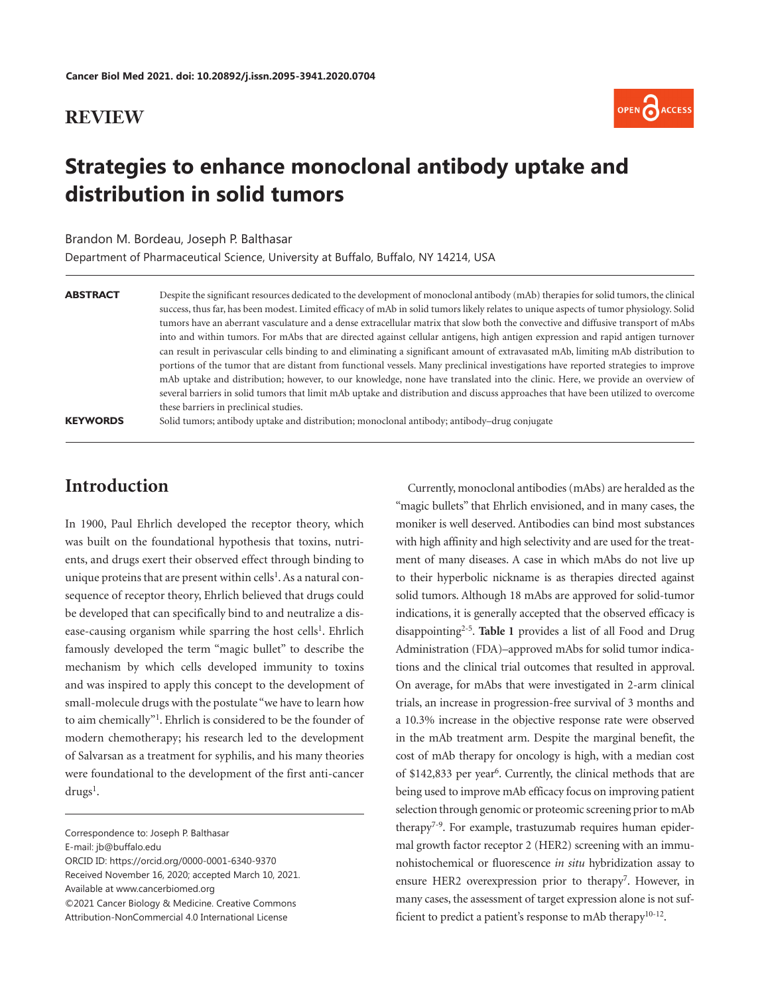#### **REVIEW**



# **Strategies to enhance monoclonal antibody uptake and distribution in solid tumors**

#### Brandon M. Bordeau, Joseph P. Balthasar

Department of Pharmaceutical Science, University at Buffalo, Buffalo, NY 14214, USA

| ABSTRACT        | Despite the significant resources dedicated to the development of monoclonal antibody (mAb) therapies for solid tumors, the clinical    |
|-----------------|-----------------------------------------------------------------------------------------------------------------------------------------|
|                 | success, thus far, has been modest. Limited efficacy of mAb in solid tumors likely relates to unique aspects of tumor physiology. Solid |
|                 | tumors have an aberrant vasculature and a dense extracellular matrix that slow both the convective and diffusive transport of mAbs      |
|                 | into and within tumors. For mAbs that are directed against cellular antigens, high antigen expression and rapid antigen turnover        |
|                 | can result in perivascular cells binding to and eliminating a significant amount of extravasated mAb, limiting mAb distribution to      |
|                 | portions of the tumor that are distant from functional vessels. Many preclinical investigations have reported strategies to improve     |
|                 | mAb uptake and distribution; however, to our knowledge, none have translated into the clinic. Here, we provide an overview of           |
|                 | several barriers in solid tumors that limit mAb uptake and distribution and discuss approaches that have been utilized to overcome      |
|                 | these barriers in preclinical studies.                                                                                                  |
| <b>KEYWORDS</b> | Solid tumors; antibody uptake and distribution; monoclonal antibody; antibody—drug conjugate                                            |

## **Introduction**

<span id="page-0-0"></span>In 1900, Paul Ehrlich developed the receptor theory, which was built on the foundational hypothesis that toxins, nutrients, and drugs exert their observed effect through binding to unique proteins that are present within cells<sup>[1](#page-10-0)</sup>. As a natural consequence of receptor theory, Ehrlich believed that drugs could be developed that can specifically bind to and neutralize a dis-ease-causing organism while sparring the host cells<sup>[1](#page-10-0)</sup>. Ehrlich famously developed the term "magic bullet" to describe the mechanism by which cells developed immunity to toxins and was inspired to apply this concept to the development of small-molecule drugs with the postulate "we have to learn how to aim chemically"[1](#page-10-0). Ehrlich is considered to be the founder of modern chemotherapy; his research led to the development of Salvarsan as a treatment for syphilis, and his many theories were foundational to the development of the first anti-cancer  $drugs<sup>1</sup>$ .

E-mail: [jb@buffalo.edu](mailto:jb@buffalo.edu)

Received November 16, 2020; accepted March 10, 2021. Available at [www.cancerbiomed.org](http://www.cancerbiomed.org)

©2021 Cancer Biology & Medicine. Creative Commons

<span id="page-0-6"></span>Attribution-NonCommercial 4.0 International License

<span id="page-0-7"></span><span id="page-0-5"></span><span id="page-0-3"></span><span id="page-0-2"></span><span id="page-0-1"></span>Currently, monoclonal antibodies (mAbs) are heralded as the "magic bullets" that Ehrlich envisioned, and in many cases, the moniker is well deserved. Antibodies can bind most substances with high affinity and high selectivity and are used for the treatment of many diseases. A case in which mAbs do not live up to their hyperbolic nickname is as therapies directed against solid tumors. Although 18 mAbs are approved for solid-tumor indications, it is generally accepted that the observed efficacy is disappointing[2-](#page-10-1)[5](#page-10-2). **[Table 1](#page-1-0)** provides a list of all Food and Drug Administration (FDA)–approved mAbs for solid tumor indications and the clinical trial outcomes that resulted in approval. On average, for mAbs that were investigated in 2-arm clinical trials, an increase in progression-free survival of 3 months and a 10.3% increase in the objective response rate were observed in the mAb treatment arm. Despite the marginal benefit, the cost of mAb therapy for oncology is high, with a median cost of \$142,833 per year<sup>[6](#page-10-3)</sup>. Currently, the clinical methods that are being used to improve mAb efficacy focus on improving patient selection through genomic or proteomic screening prior to mAb therap[y7](#page-10-4)-[9.](#page-11-0) For example, trastuzumab requires human epidermal growth factor receptor 2 (HER2) screening with an immunohistochemical or fluorescence *in situ* hybridization assay to ensure HER2 overexpression prior to therapy<sup>7</sup>. However, in many cases, the assessment of target expression alone is not suf-ficient to predict a patient's response to mAb therapy<sup>10-[12](#page-11-2)</sup>.

<span id="page-0-4"></span>Correspondence to: Joseph P. Balthasar

ORCID ID: <https://orcid.org/0000-0001-6340-9370>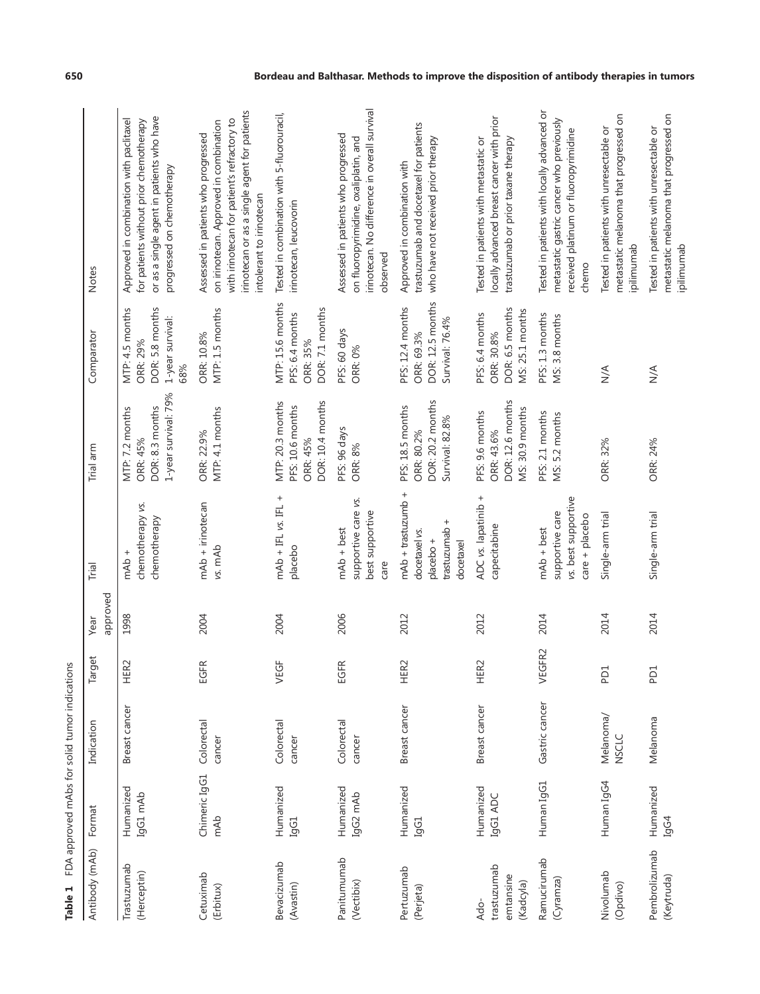<span id="page-1-0"></span>

| Table 1                                       |                       | FDA approved mAbs for solid tumor indications |                      |                  |                                                                                            |                                                                        |                                                                           |                                                                                                                                                                                                          |
|-----------------------------------------------|-----------------------|-----------------------------------------------|----------------------|------------------|--------------------------------------------------------------------------------------------|------------------------------------------------------------------------|---------------------------------------------------------------------------|----------------------------------------------------------------------------------------------------------------------------------------------------------------------------------------------------------|
| Antibody (mAb)                                | Format                | Indication                                    | Target               | approved<br>Year | Trial                                                                                      | Trial arm                                                              | Comparator                                                                | Notes                                                                                                                                                                                                    |
| Trastuzumab<br>(Herceptin)                    | Humanized<br>IgG1 mAb | Breast cancer                                 | ER <sub>2</sub><br>工 | 1998             | chemotherapy vs.<br>chemotherapy<br>mAb +                                                  | 1-year survival: 79%<br>DOR: 8.3 months<br>MTP: 7.2 months<br>ORR: 45% | DOR: 5.8 months<br>MTP: 4.5 months<br>1-year survival:<br>ORR: 29%<br>68% | or as a single agent in patients who have<br>for patients without prior chemotherapy<br>Approved in combination with paclitaxel<br>progressed on chemotherapy                                            |
| Cetuximab<br>(Erbitux)                        | Chimeric IgG1<br>mAb  | Colorectal<br>cancer                          | EGFR                 | 2004             | mAb + irinotecan<br>vs. mAb                                                                | MTP: 4.1 months<br>ORR: 22.9%                                          | MTP: 1.5 months<br>ORR: 10.8%                                             | irinotecan or as a single agent for patients<br>with irinotecan for patient's refractory to<br>on irinotecan. Approved in combination<br>Assessed in patients who progressed<br>intolerant to irinotecan |
| Bevacizumab<br>(Avastin)                      | Humanized<br>IgG1     | Colorectal<br>cancer                          | VEGF                 | 2004             | $mAb + IFL$ vs. IFL +<br>placebo                                                           | DOR: 10.4 months<br>MTP: 20.3 months<br>PFS: 10.6 months<br>ORR: 45%   | MTP: 15.6 months<br>DOR: 7.1 months<br>PFS: 6.4 months<br>ORR: 35%        | Tested in combination with 5-fluorouracil,<br>irinotecan, leucovorin                                                                                                                                     |
| Panitumumab<br>(Vectibix)                     | Humanized<br>IgG2 mAb | Colorectal<br>cancer                          | EGFR                 | 2006             | supportive care vs.<br>best supportive<br>$mAb + best$<br>care                             | PFS: 96 days<br><b>ORR: 8%</b>                                         | PFS: 60 days<br><b>ORR: 0%</b>                                            | irinotecan. No difference in overall survival<br>Assessed in patients who progressed<br>on fluoropyrimidine, oxaliplatin, and<br>observed                                                                |
| Pertuzumab<br>(Perjeta)                       | Humanized<br>IgG1     | Breast cancer                                 | ER <sub>2</sub><br>ᆂ | 2012             | $mAb + transition +$<br>$^{+}$<br>trastuzumab<br>docetaxel vs.<br>$placebo +$<br>docetaxel | DOR: 20.2 months<br>PFS: 18.5 months<br>Survival: 82.8%<br>ORR: 80.2%  | DOR: 12.5 months<br>PFS: 12.4 months<br>Survival: 76.4%<br>ORR: 69.3%     | trastuzumab and docetaxel for patients<br>who have not received prior therapy<br>Approved in combination with                                                                                            |
| trastuzumab<br>emtansine<br>(Kadcyla)<br>Ado- | Humanized<br>IgG1 ADC | Breast cancer                                 | HER2                 | 2012             | ADC vs. lapatinib +<br>capecitabine                                                        | DOR: 12.6 months<br>MS: 30.9 months<br>PFS: 9.6 months<br>ORR: 43.6%   | DOR: 6.5 months<br>MS: 25.1 months<br>PFS: 6.4 months<br>ORR: 30.8%       | locally advanced breast cancer with prior<br>Tested in patients with metastatic or<br>trastuzumab or prior taxane therapy                                                                                |
| Ramucirumab<br>(Cyramza)                      | Human IgG1            | Gastric cancer                                | 'EGFR2<br>$\gt$      | 2014             | vs. best supportive<br>supportive care<br>$care + placebo$<br>$mAb + best$                 | PFS: 2.1 months<br>MS: 5.2 months                                      | PFS: 1.3 months<br>MS: 3.8 months                                         | Tested in patients with locally advanced or<br>metastatic gastric cancer who previously<br>received platinum or fluoropyrimidine<br>chemo                                                                |
| Nivolumab<br>(Opdivo)                         | Human IgG4            | Melanoma/<br><b>NSCLC</b>                     | P <sub>D</sub> 1     | 2014             | Single-arm trial                                                                           | ORR: 32%                                                               | $\sum_{i=1}^{n}$                                                          | metastatic melanoma that progressed on<br>Tested in patients with unresectable or<br>ipilimumab                                                                                                          |
| Pembrolizumab<br>(Keytruda)                   | Humanized<br>IgG4     | Melanoma                                      | P <sub>D</sub> 1     | 2014             | Single-arm trial                                                                           | ORR: 24%                                                               | $\frac{4}{2}$                                                             | metastatic melanoma that progressed on<br>Tested in patients with unresectable or<br>ipilimumab                                                                                                          |

#### **650 Bordeau and Balthasar. Methods to improve the disposition of antibody therapies in tumors**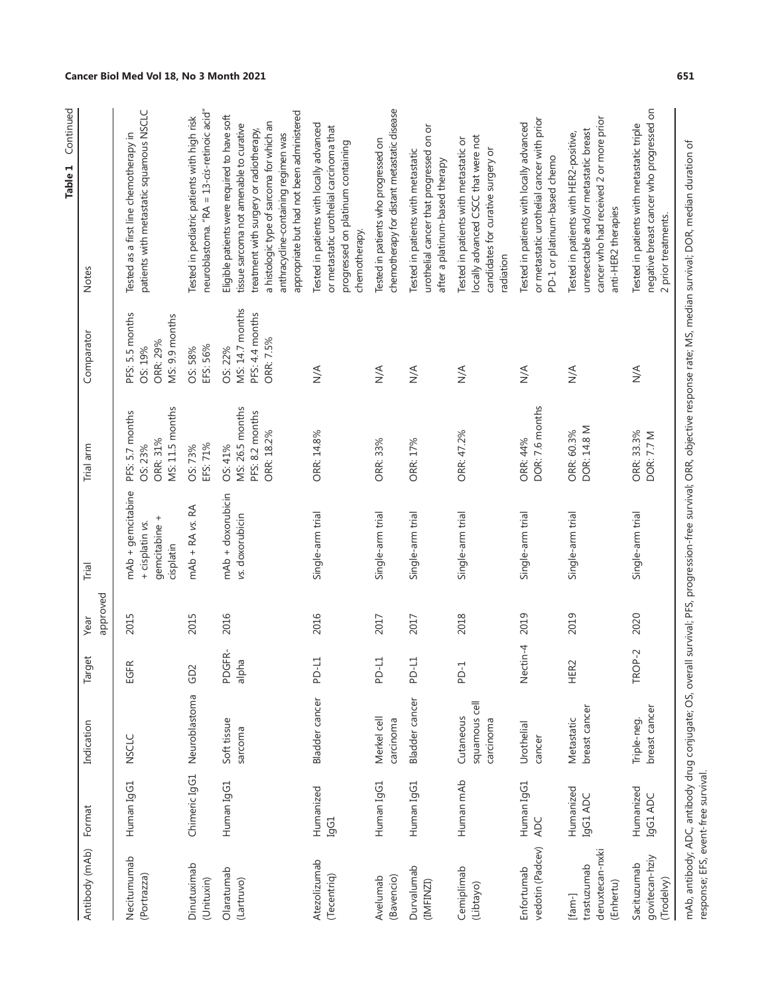| Antibody (mAb)                                        | Format                   | Indication                              | Target          | approved<br>Year | Trial                                                              | Trial arm                                                   | Comparator                                                        | Notes                                                                                                                                                                                                                                                                |
|-------------------------------------------------------|--------------------------|-----------------------------------------|-----------------|------------------|--------------------------------------------------------------------|-------------------------------------------------------------|-------------------------------------------------------------------|----------------------------------------------------------------------------------------------------------------------------------------------------------------------------------------------------------------------------------------------------------------------|
| Necitumumab<br>(Portrazza)                            | Human IgG1               | <b>NSCLC</b>                            | EGFR            | 2015             | mAb + gemcitabine<br>gemcitabine +<br>+ cisplatin vs.<br>cisplatin | MS: 11.5 months<br>PFS: 5.7 months<br>ORR: 31%<br>OS: 23%   | PFS: 5.5 months<br>MS: 9.9 months<br>ORR: 29%<br>OS: 19%          | patients with metastatic squamous NSCLC<br>Tested as a first line chemotherapy in                                                                                                                                                                                    |
| Dinutuximab<br>(Unituxin)                             | Chimeric IgG1            | Neuroblastoma                           | GD <sub>2</sub> | 2015             | $mAb + RA$ vs. $RA$                                                | EFS: 71%<br>OS: 73%                                         | EFS: 56%<br>OS: 58%                                               | neuroblastoma. "RA = 13-cis-retinoic acid"<br>Tested in pediatric patients with high risk                                                                                                                                                                            |
| Olaratumab<br>(Lartruvo)                              | Human IgG1               | Soft tissue<br>sarcoma                  | PDGFR-<br>alpha | 2016             | $mAb + dox$ orubicin<br>vs. doxorubicin                            | MS: 26.5 months<br>PFS: 8.2 months<br>ORR: 18.2%<br>OS: 41% | MS: 14.7 months<br>PFS: 4.4 months<br><b>ORR: 7.5%</b><br>OS: 22% | appropriate but had not been administered<br>Eligible patients were required to have soft<br>a histologic type of sarcoma for which an<br>tissue sarcoma not amenable to curative<br>treatment with surgery or radiotherapy,<br>anthracycline-containing regimen was |
| Atezolizumab<br>(Tecentriq)                           | Humanized<br>IgG1        | Bladder cancer                          | PD-L1           | 2016             | Single-arm trial                                                   | ORR: 14.8%                                                  | $\leq$                                                            | Tested in patients with locally advanced<br>or metastatic urothelial carcinoma that<br>progressed on platinum containing<br>chemotherapy.                                                                                                                            |
| (Bavencio)<br>Avelumab                                | Human IgG1               | Merkel cell<br>carcinoma                | PD-L1           | 2017             | Single-arm trial                                                   | ORR: 33%                                                    | $\frac{4}{2}$                                                     | chemotherapy for distant metastatic disease<br>Tested in patients who progressed on                                                                                                                                                                                  |
| Durvalumab<br>(IMFINZI)                               | Human IgG1               | <b>Bladder</b> cancer                   | PD-L1           | 2017             | Single-arm trial                                                   | ORR: 17%                                                    | $\leq$                                                            | urothelial cancer that progressed on or<br>Tested in patients with metastatic<br>after a platinum-based therapy                                                                                                                                                      |
| Cemiplimab<br>(Libtayo)                               | Human mAb                | squamous cell<br>Cutaneous<br>carcinoma | PD-1            | 2018             | Single-arm trial                                                   | ORR: 47.2%                                                  | $\leq$                                                            | locally advanced CSCC that were not<br>Tested in patients with metastatic or<br>candidates for curative surgery or<br>radiation                                                                                                                                      |
| vedotin (Padcev)<br>Enfortumab                        | Human IgG1<br><b>ADC</b> | Urothelial<br>cancer                    | Nectin-4        | 2019             | Single-arm trial                                                   | DOR: 7.6 months<br><b>ORR: 44%</b>                          | $\frac{4}{2}$                                                     | or metastatic urothelial cancer with prior<br>Tested in patients with locally advanced<br>PD-1 or platinum-based chemo                                                                                                                                               |
| deruxtecan-nxki<br>trastuzumab<br>(Enhertu)<br>[fam-] | Humanized<br>IgG1 ADC    | breast cancer<br>Metastatic             | HER2            | 2019             | Single-arm trial                                                   | DOR: 14.8 M<br>ORR: 60.3%                                   | $\sum_{i=1}^{n}$                                                  | cancer who had received 2 or more prior<br>unresectable and/or metastatic breast<br>Tested in patients with HER2-positive,<br>anti-HER2 therapies                                                                                                                    |
| govitecan-hziy<br>Sacituzumab<br>(Trodelvy)           | Humanized<br>IgG1 ADC    | breast cancer<br>Triple-neg.            | TROP-2          | 2020             | Single-arm trial                                                   | ORR: 33.3%<br><b>DOR: 7.7 M</b>                             | $\stackrel{\triangle}{\geq}$                                      | negative breast cancer who progressed on<br>Tested in patients with metastatic triple<br>2 prior treatments.                                                                                                                                                         |
|                                                       |                          |                                         |                 |                  |                                                                    |                                                             |                                                                   | mAb, antibody; ADC, antibody drug conjugate; OS, overall survival; PFS, progression-free survival; ORR, objective response rate; MS, median survival; DOR, median duration of                                                                                        |

Table 1 Continued **Table 1** Continued

**Cancer Biol Med Vol 18, No 3 Month 2021 651**

response; EFS, event-free survival.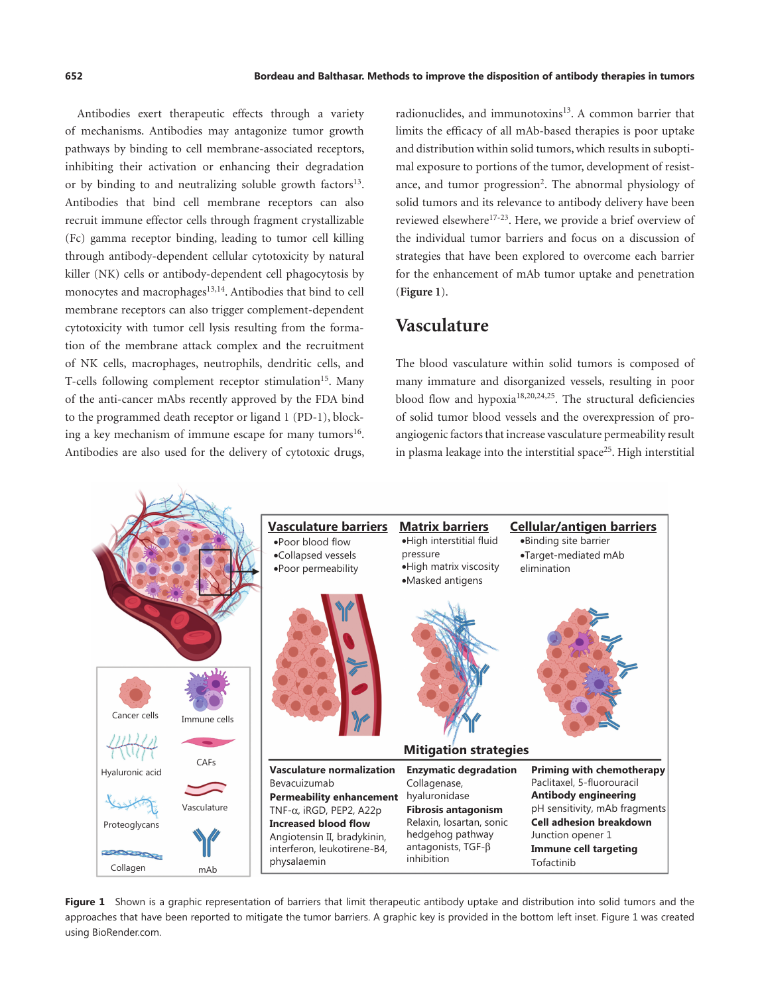<span id="page-3-1"></span>Antibodies exert therapeutic effects through a variety of mechanisms. Antibodies may antagonize tumor growth pathways by binding to cell membrane-associated receptors, inhibiting their activation or enhancing their degradation or by binding to and neutralizing soluble growth factors $13$ . Antibodies that bind cell membrane receptors can also recruit immune effector cells through fragment crystallizable (Fc) gamma receptor binding, leading to tumor cell killing through antibody-dependent cellular cytotoxicity by natural killer (NK) cells or antibody-dependent cell phagocytosis by monocytes and macrophages<sup>[13](#page-11-3),[14](#page-11-4)</sup>. Antibodies that bind to cell membrane receptors can also trigger complement-dependent cytotoxicity with tumor cell lysis resulting from the formation of the membrane attack complex and the recruitment of NK cells, macrophages, neutrophils, dendritic cells, and T-cells following complement receptor stimulation<sup>15</sup>. Many of the anti-cancer mAbs recently approved by the FDA bind to the programmed death receptor or ligand 1 (PD-1), block-ing a key mechanism of immune escape for many tumors<sup>[16](#page-11-6)</sup>. Antibodies are also used for the delivery of cytotoxic drugs,

radionuclides, and immunotoxins<sup>[13](#page-11-3)</sup>. A common barrier that limits the efficacy of all mAb-based therapies is poor uptake and distribution within solid tumors, which results in suboptimal exposure to portions of the tumor, development of resistance, and tumor progression<sup>2</sup>. The abnormal physiology of solid tumors and its relevance to antibody delivery have been reviewed elsewhere<sup>[17-](#page-11-7)[23](#page-11-8)</sup>. Here, we provide a brief overview of the individual tumor barriers and focus on a discussion of strategies that have been explored to overcome each barrier for the enhancement of mAb tumor uptake and penetration (**[Figure 1](#page-3-0)**).

## <span id="page-3-8"></span><span id="page-3-5"></span><span id="page-3-2"></span>**Vasculature**

<span id="page-3-7"></span><span id="page-3-6"></span>The blood vasculature within solid tumors is composed of many immature and disorganized vessels, resulting in poor blood flow and hypoxia[18,](#page-11-9)[20,](#page-11-10)[24,](#page-11-11)[25.](#page-11-12) The structural deficiencies of solid tumor blood vessels and the overexpression of proangiogenic factors that increase vasculature permeability result in plasma leakage into the interstitial space<sup>[25](#page-11-12)</sup>. High interstitial

<span id="page-3-4"></span><span id="page-3-3"></span>

<span id="page-3-0"></span>Figure 1 Shown is a graphic representation of barriers that limit therapeutic antibody uptake and distribution into solid tumors and the approaches that have been reported to mitigate the tumor barriers. A graphic key is provided in the bottom left inset. Figure 1 was created using BioRender.com.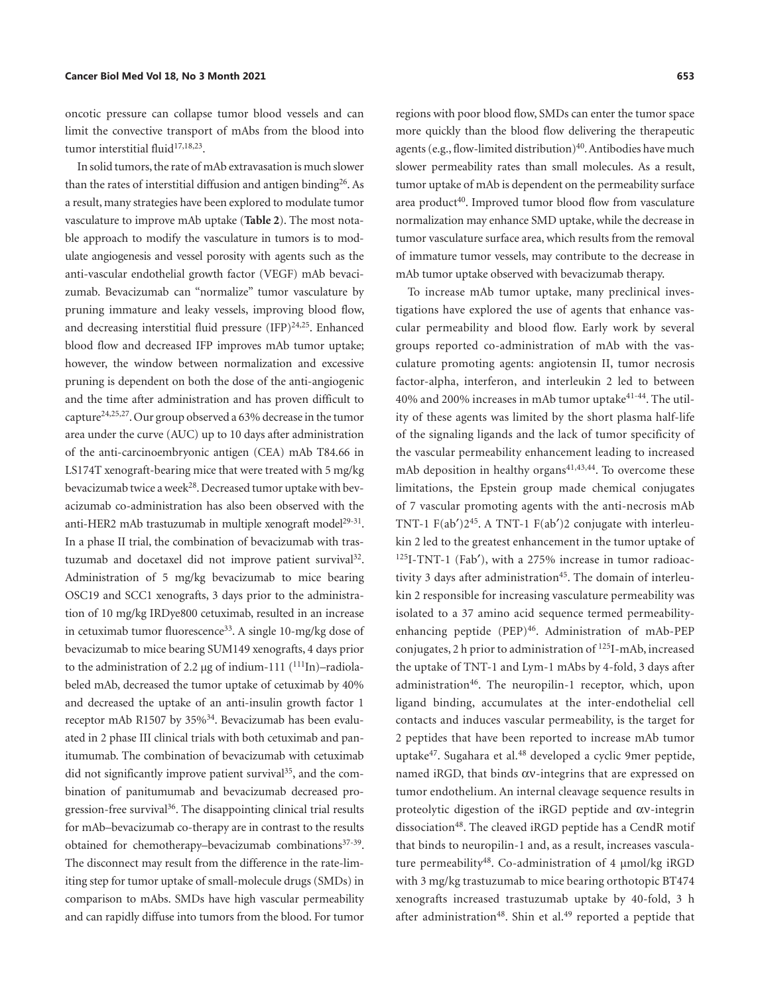oncotic pressure can collapse tumor blood vessels and can limit the convective transport of mAbs from the blood into tumor interstitial fluid<sup>17[,18](#page-11-9),23</sup>.

<span id="page-4-21"></span><span id="page-4-6"></span><span id="page-4-5"></span><span id="page-4-3"></span><span id="page-4-2"></span><span id="page-4-1"></span><span id="page-4-0"></span>In solid tumors, the rate of mAb extravasation is much slower than the rates of interstitial diffusion and antigen binding<sup>[26](#page-11-13)</sup>. As a result, many strategies have been explored to modulate tumor vasculature to improve mAb uptake (**[Table](#page-5-0) 2**). The most notable approach to modify the vasculature in tumors is to modulate angiogenesis and vessel porosity with agents such as the anti-vascular endothelial growth factor (VEGF) mAb bevacizumab. Bevacizumab can "normalize" tumor vasculature by pruning immature and leaky vessels, improving blood flow, and decreasing interstitial fluid pressure (IFP)<sup>24,25</sup>. Enhanced blood flow and decreased IFP improves mAb tumor uptake; however, the window between normalization and excessive pruning is dependent on both the dose of the anti-angiogenic and the time after administration and has proven difficult to captur[e24,](#page-11-11)[25](#page-11-12)[,27](#page-11-14). Our group observed a 63% decrease in the tumor area under the curve (AUC) up to 10 days after administration of the anti-carcinoembryonic antigen (CEA) mAb T84.66 in LS174T xenograft-bearing mice that were treated with 5 mg/kg bevacizumab twice a week<sup>[28](#page-11-15)</sup>. Decreased tumor uptake with bevacizumab co-administration has also been observed with the anti-HER2 mAb trastuzumab in multiple xenograft model<sup>[29-](#page-11-16)[31](#page-11-17)</sup>. In a phase II trial, the combination of bevacizumab with tras-tuzumab and docetaxel did not improve patient survival<sup>[32](#page-11-18)</sup>. Administration of 5 mg/kg bevacizumab to mice bearing OSC19 and SCC1 xenografts, 3 days prior to the administration of 10 mg/kg IRDye800 cetuximab, resulted in an increase in cetuximab tumor fluorescence<sup>33</sup>. A single 10-mg/kg dose of bevacizumab to mice bearing SUM149 xenografts, 4 days prior to the administration of 2.2 μg of indium-[111](#page-14-0)  $(^{111}In)$ –radiolabeled mAb, decreased the tumor uptake of cetuximab by 40% and decreased the uptake of an anti-insulin growth factor 1 receptor mAb R1507 by  $35\%$ <sup>[34](#page-11-20)</sup>. Bevacizumab has been evaluated in 2 phase III clinical trials with both cetuximab and panitumumab. The combination of bevacizumab with cetuximab did not significantly improve patient survival<sup>[35](#page-11-21)</sup>, and the combination of panitumumab and bevacizumab decreased progression-free survival<sup>36</sup>. The disappointing clinical trial results for mAb–bevacizumab co-therapy are in contrast to the results obtained for chemotherapy–bevacizumab combinations<sup>37-[39](#page-12-0)</sup>. The disconnect may result from the difference in the rate-limiting step for tumor uptake of small-molecule drugs (SMDs) in comparison to mAbs. SMDs have high vascular permeability and can rapidly diffuse into tumors from the blood. For tumor

<span id="page-4-12"></span>regions with poor blood flow, SMDs can enter the tumor space more quickly than the blood flow delivering the therapeutic agents (e.g., flow-limited distribution) $40$ . Antibodies have much slower permeability rates than small molecules. As a result, tumor uptake of mAb is dependent on the permeability surface area product<sup>40</sup>. Improved tumor blood flow from vasculature normalization may enhance SMD uptake, while the decrease in tumor vasculature surface area, which results from the removal of immature tumor vessels, may contribute to the decrease in mAb tumor uptake observed with bevacizumab therapy.

<span id="page-4-22"></span><span id="page-4-20"></span><span id="page-4-19"></span><span id="page-4-18"></span><span id="page-4-17"></span><span id="page-4-16"></span><span id="page-4-15"></span><span id="page-4-14"></span><span id="page-4-13"></span><span id="page-4-11"></span><span id="page-4-10"></span><span id="page-4-9"></span><span id="page-4-8"></span><span id="page-4-7"></span><span id="page-4-4"></span>To increase mAb tumor uptake, many preclinical investigations have explored the use of agents that enhance vascular permeability and blood flow. Early work by several groups reported co-administration of mAb with the vasculature promoting agents: angiotensin II, tumor necrosis factor-alpha, interferon, and interleukin 2 led to between 40% and 200% increases in mAb tumor uptake<sup>[41](#page-12-2)-[44](#page-12-3)</sup>. The utility of these agents was limited by the short plasma half-life of the signaling ligands and the lack of tumor specificity of the vascular permeability enhancement leading to increased mAb deposition in healthy organs $41,43,44$  $41,43,44$  $41,43,44$  $41,43,44$ . To overcome these limitations, the Epstein group made chemical conjugates of 7 vascular promoting agents with the anti-necrosis mAb TNT-1 F(ab′)2[45.](#page-12-5) A TNT-1 F(ab′)2 conjugate with interleukin 2 led to the greatest enhancement in the tumor uptake of [125I](#page-14-1)-TNT-1 (Fab′), with a 275% increase in tumor radioactivity 3 days after administration<sup>45</sup>. The domain of interleukin 2 responsible for increasing vasculature permeability was isolated to a 37 amino acid sequence termed permeabilityenhancing peptide (PEP)<sup>46</sup>. Administration of mAb-PEP conjugates, 2 h prior to administration of [125I](#page-14-1)-mAb, increased the uptake of TNT-1 and Lym-1 mAbs by 4-fold, 3 days after administration<sup>46</sup>. The neuropilin-1 receptor, which, upon ligand binding, accumulates at the inter-endothelial cell contacts and induces vascular permeability, is the target for 2 peptides that have been reported to increase mAb tumor uptake<sup>47</sup>. Sugahara et al.<sup>48</sup> developed a cyclic 9mer peptide, named iRGD, that binds αν-integrins that are expressed on tumor endothelium. An internal cleavage sequence results in proteolytic digestion of the iRGD peptide and αν-integrin dissociation<sup>[48](#page-12-8)</sup>. The cleaved iRGD peptide has a CendR motif that binds to neuropilin-1 and, as a result, increases vasculature permeability[48.](#page-12-8) Co-administration of 4 μmol/kg iRGD with 3 mg/kg trastuzumab to mice bearing orthotopic BT474 xenografts increased trastuzumab uptake by 40-fold, 3 h after administration<sup>48</sup>. Shin et al.<sup>[49](#page-12-9)</sup> reported a peptide that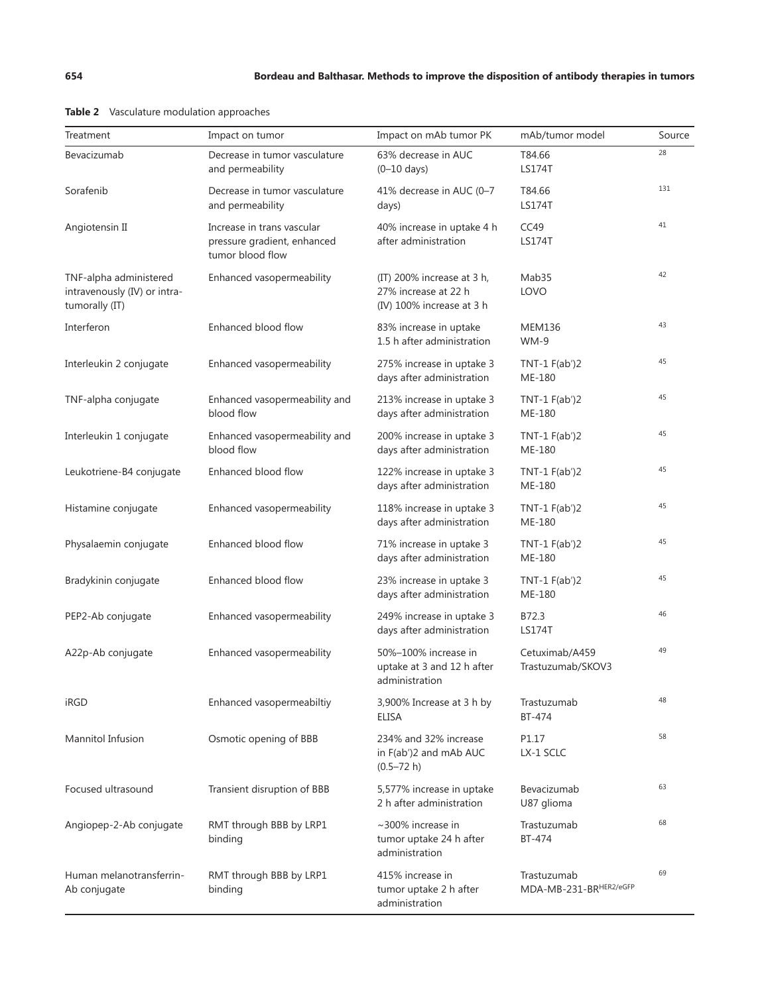<span id="page-5-2"></span><span id="page-5-1"></span>

| Treatment                                                                | Impact on tumor                                                               | Impact on mAb tumor PK                                                          | mAb/tumor model                       | Source |
|--------------------------------------------------------------------------|-------------------------------------------------------------------------------|---------------------------------------------------------------------------------|---------------------------------------|--------|
| Bevacizumab                                                              | Decrease in tumor vasculature<br>and permeability                             | 63% decrease in AUC<br>$(0-10$ days)                                            | T84.66<br><b>LS174T</b>               | 28     |
| Sorafenib                                                                | Decrease in tumor vasculature<br>and permeability                             | 41% decrease in AUC (0-7<br>days)                                               | T84.66<br><b>LS174T</b>               | 131    |
| Angiotensin II                                                           | Increase in trans vascular<br>pressure gradient, enhanced<br>tumor blood flow | 40% increase in uptake 4 h<br>after administration                              | CC49<br><b>LS174T</b>                 | 41     |
| TNF-alpha administered<br>intravenously (IV) or intra-<br>tumorally (IT) | Enhanced vasopermeability                                                     | (IT) 200% increase at 3 h,<br>27% increase at 22 h<br>(IV) 100% increase at 3 h | Mab35<br>LOVO                         | 42     |
| Interferon                                                               | Enhanced blood flow                                                           | 83% increase in uptake<br>1.5 h after administration                            | <b>MEM136</b><br>$WM-9$               | 43     |
| Interleukin 2 conjugate                                                  | Enhanced vasopermeability                                                     | 275% increase in uptake 3<br>days after administration                          | TNT-1 $F(ab')2$<br>ME-180             | 45     |
| TNF-alpha conjugate                                                      | Enhanced vasopermeability and<br>blood flow                                   | 213% increase in uptake 3<br>days after administration                          | TNT-1 $F(ab')2$<br>ME-180             | 45     |
| Interleukin 1 conjugate                                                  | Enhanced vasopermeability and<br>blood flow                                   | 200% increase in uptake 3<br>days after administration                          | TNT-1 $F(ab')2$<br>ME-180             | 45     |
| Leukotriene-B4 conjugate                                                 | Enhanced blood flow                                                           | 122% increase in uptake 3<br>days after administration                          | TNT-1 $F(ab')2$<br>ME-180             | 45     |
| Histamine conjugate                                                      | Enhanced vasopermeability                                                     | 118% increase in uptake 3<br>days after administration                          | TNT-1 $F(ab')2$<br>ME-180             | 45     |
| Physalaemin conjugate                                                    | Enhanced blood flow                                                           | 71% increase in uptake 3<br>days after administration                           | TNT-1 $F(ab')2$<br>ME-180             | 45     |
| Bradykinin conjugate                                                     | Enhanced blood flow                                                           | 23% increase in uptake 3<br>days after administration                           | TNT-1 $F(ab')2$<br>ME-180             | 45     |
| PEP2-Ab conjugate                                                        | Enhanced vasopermeability                                                     | 249% increase in uptake 3<br>days after administration                          | B72.3<br><b>LS174T</b>                | 46     |
| A22p-Ab conjugate                                                        | Enhanced vasopermeability                                                     | 50%-100% increase in<br>uptake at 3 and 12 h after<br>administration            | Cetuximab/A459<br>Trastuzumab/SKOV3   | 49     |
| iRGD                                                                     | Enhanced vasopermeabiltiy                                                     | 3,900% Increase at 3 h by<br><b>ELISA</b>                                       | Trastuzumab<br>BT-474                 | 48     |
| Mannitol Infusion                                                        | Osmotic opening of BBB                                                        | 234% and 32% increase<br>in F(ab')2 and mAb AUC<br>$(0.5 - 72 h)$               | P1.17<br>LX-1 SCLC                    | 58     |
| Focused ultrasound                                                       | Transient disruption of BBB                                                   | 5,577% increase in uptake<br>2 h after administration                           | Bevacizumab<br>U87 glioma             | 63     |
| Angiopep-2-Ab conjugate                                                  | RMT through BBB by LRP1<br>binding                                            | $\sim$ 300% increase in<br>tumor uptake 24 h after<br>administration            | Trastuzumab<br>BT-474                 | 68     |
| Human melanotransferrin-<br>Ab conjugate                                 | RMT through BBB by LRP1<br>binding                                            | 415% increase in<br>tumor uptake 2 h after<br>administration                    | Trastuzumab<br>MDA-MB-231-BRHER2/eGFP | 69     |

<span id="page-5-0"></span>

| Table 2 |  |  | Vasculature modulation approaches |  |  |  |  |  |  |
|---------|--|--|-----------------------------------|--|--|--|--|--|--|
|---------|--|--|-----------------------------------|--|--|--|--|--|--|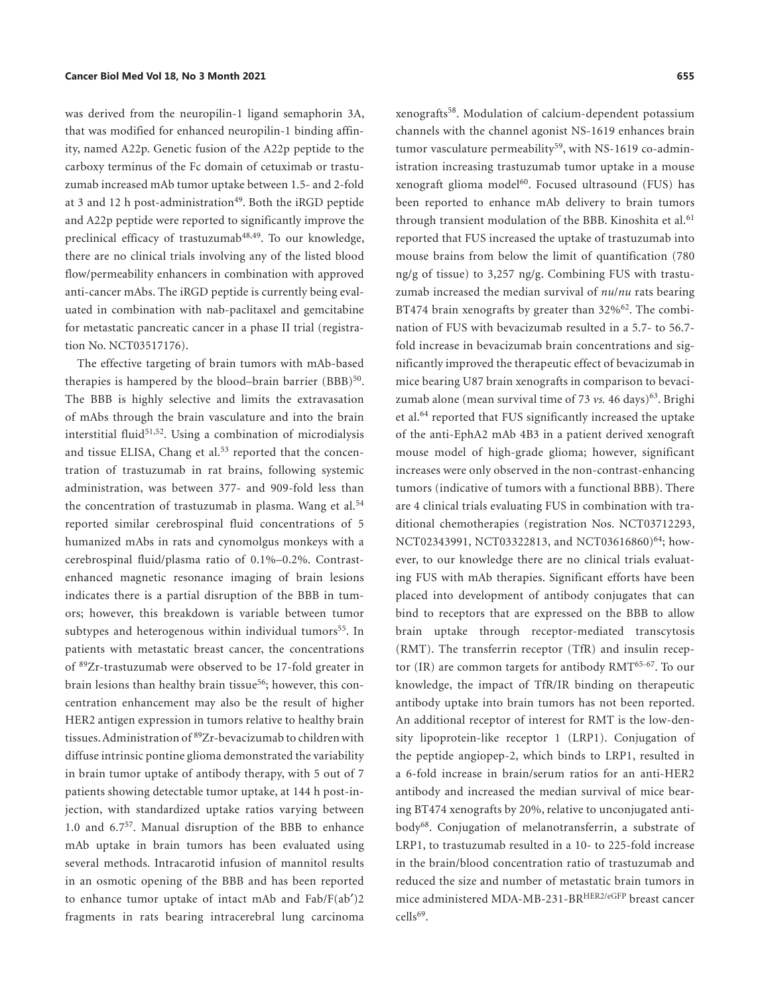was derived from the neuropilin-1 ligand semaphorin 3A, that was modified for enhanced neuropilin-1 binding affinity, named A22p. Genetic fusion of the A22p peptide to the carboxy terminus of the Fc domain of cetuximab or trastuzumab increased mAb tumor uptake between 1.5- and 2-fold at 3 and 12 h post-administration<sup>[49](#page-12-9)</sup>. Both the iRGD peptide and A22p peptide were reported to significantly improve the preclinical efficacy of trastuzumab<sup>[48](#page-12-8),[49](#page-12-9)</sup>. To our knowledge, there are no clinical trials involving any of the listed blood flow/permeability enhancers in combination with approved anti-cancer mAbs. The iRGD peptide is currently being evaluated in combination with nab-paclitaxel and gemcitabine for metastatic pancreatic cancer in a phase II trial (registration No. NCT03517176).

<span id="page-6-19"></span><span id="page-6-18"></span><span id="page-6-17"></span><span id="page-6-15"></span><span id="page-6-7"></span><span id="page-6-6"></span><span id="page-6-5"></span><span id="page-6-4"></span><span id="page-6-3"></span><span id="page-6-2"></span><span id="page-6-1"></span><span id="page-6-0"></span>The effective targeting of brain tumors with mAb-based therapies is hampered by the blood–brain barrier (BBB)<sup>[50](#page-12-15)</sup>. The BBB is highly selective and limits the extravasation of mAbs through the brain vasculature and into the brain interstitial fluid<sup>[51](#page-12-16),[52](#page-12-17)</sup>. Using a combination of microdialysis and tissue ELISA, Chang et al.<sup>[53](#page-12-18)</sup> reported that the concentration of trastuzumab in rat brains, following systemic administration, was between 377- and 909-fold less than the concentration of trastuzumab in plasma. Wang et al.<sup>[54](#page-12-19)</sup> reported similar cerebrospinal fluid concentrations of 5 humanized mAbs in rats and cynomolgus monkeys with a cerebrospinal fluid/plasma ratio of 0.1%–0.2%. Contrastenhanced magnetic resonance imaging of brain lesions indicates there is a partial disruption of the BBB in tumors; however, this breakdown is variable between tumor subtypes and heterogenous within individual tumors<sup>[55](#page-12-20)</sup>. In patients with metastatic breast cancer, the concentrations of [89Z](#page-13-0)r-trastuzumab were observed to be 17-fold greater in brain lesions than healthy brain tissue<sup>[56](#page-12-21)</sup>; however, this concentration enhancement may also be the result of higher HER2 antigen expression in tumors relative to healthy brain tissues. Administration of [89](#page-13-0)Zr-bevacizumab to children with diffuse intrinsic pontine glioma demonstrated the variability in brain tumor uptake of antibody therapy, with 5 out of 7 patients showing detectable tumor uptake, at 144 h post-injection, with standardized uptake ratios varying between 1.0 and 6.7[57](#page-12-22). Manual disruption of the BBB to enhance mAb uptake in brain tumors has been evaluated using several methods. Intracarotid infusion of mannitol results in an osmotic opening of the BBB and has been reported to enhance tumor uptake of intact mAb and Fab/F(ab′)2 fragments in rats bearing intracerebral lung carcinoma

<span id="page-6-16"></span><span id="page-6-14"></span><span id="page-6-13"></span><span id="page-6-12"></span><span id="page-6-11"></span><span id="page-6-10"></span><span id="page-6-9"></span><span id="page-6-8"></span>xenografts[58.](#page-12-11) Modulation of calcium-dependent potassium channels with the channel agonist NS-1619 enhances brain tumor vasculature permeability<sup>[59](#page-12-23)</sup>, with NS-1619 co-administration increasing trastuzumab tumor uptake in a mouse xenograft glioma model<sup>60</sup>. Focused ultrasound (FUS) has been reported to enhance mAb delivery to brain tumors through transient modulation of the BBB. Kinoshita et al.<sup>[61](#page-12-25)</sup> reported that FUS increased the uptake of trastuzumab into mouse brains from below the limit of quantification (780 ng/g of tissue) to 3,257 ng/g. Combining FUS with trastuzumab increased the median survival of *nu*/*nu* rats bearing BT474 brain xenografts by greater than 32%<sup>[62](#page-12-26)</sup>. The combination of FUS with bevacizumab resulted in a 5.7- to 56.7 fold increase in bevacizumab brain concentrations and significantly improved the therapeutic effect of bevacizumab in mice bearing U87 brain xenografts in comparison to bevacizumab alone (mean survival time of 73 *vs.* 46 days)<sup>63</sup>. Brighi et al.[64](#page-12-27) reported that FUS significantly increased the uptake of the anti-EphA2 mAb 4B3 in a patient derived xenograft mouse model of high-grade glioma; however, significant increases were only observed in the non-contrast-enhancing tumors (indicative of tumors with a functional BBB). There are 4 clinical trials evaluating FUS in combination with traditional chemotherapies (registration Nos. NCT03712293, NCT02343991, NCT03322813, and NCT03616860)<sup>64</sup>; however, to our knowledge there are no clinical trials evaluating FUS with mAb therapies. Significant efforts have been placed into development of antibody conjugates that can bind to receptors that are expressed on the BBB to allow brain uptake through receptor-mediated transcytosis (RMT). The transferrin receptor (TfR) and insulin recep-tor (IR) are common targets for antibody RMT<sup>[65](#page-12-28)-[67](#page-12-29)</sup>. To our knowledge, the impact of TfR/IR binding on therapeutic antibody uptake into brain tumors has not been reported. An additional receptor of interest for RMT is the low-density lipoprotein-like receptor 1 (LRP1). Conjugation of the peptide angiopep-2, which binds to LRP1, resulted in a 6-fold increase in brain/serum ratios for an anti-HER2 antibody and increased the median survival of mice bearing BT474 xenografts by 20%, relative to unconjugated anti-body<sup>[68](#page-12-13)</sup>. Conjugation of melanotransferrin, a substrate of LRP1, to trastuzumab resulted in a 10- to 225-fold increase in the brain/blood concentration ratio of trastuzumab and reduced the size and number of metastatic brain tumors in mice administered MDA-MB-231-BRHER2/eGFP breast cancer  $c$ ells<sup>[69](#page-12-14)</sup>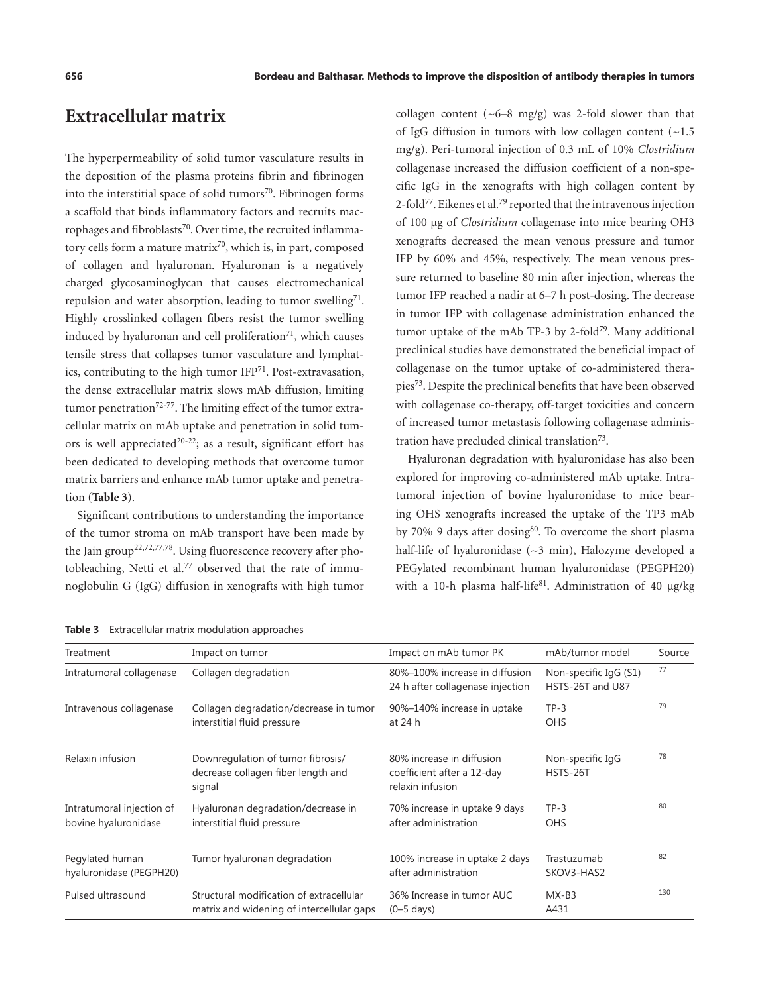# **Extracellular matrix**

<span id="page-7-3"></span><span id="page-7-2"></span>The hyperpermeability of solid tumor vasculature results in the deposition of the plasma proteins fibrin and fibrinogen into the interstitial space of solid tumors $70$ . Fibrinogen forms a scaffold that binds inflammatory factors and recruits mac-rophages and fibroblasts<sup>[70](#page-13-1)</sup>. Over time, the recruited inflammatory cells form a mature matrix<sup>70</sup>, which is, in part, composed of collagen and hyaluronan. Hyaluronan is a negatively charged glycosaminoglycan that causes electromechanical repulsion and water absorption, leading to tumor swelling<sup>[71](#page-13-2)</sup>. Highly crosslinked collagen fibers resist the tumor swelling induced by hyaluronan and cell proliferation $71$ , which causes tensile stress that collapses tumor vasculature and lymphatics, contributing to the high tumor  $IFP<sup>71</sup>$  $IFP<sup>71</sup>$  $IFP<sup>71</sup>$ . Post-extravasation, the dense extracellular matrix slows mAb diffusion, limiting tumor penetration<sup>[72](#page-13-3)-77</sup>. The limiting effect of the tumor extracellular matrix on mAb uptake and penetration in solid tum-ors is well appreciated<sup>[20](#page-11-10)-22</sup>; as a result, significant effort has been dedicated to developing methods that overcome tumor matrix barriers and enhance mAb tumor uptake and penetration (**[Table 3](#page-7-0)**).

<span id="page-7-7"></span><span id="page-7-4"></span>Significant contributions to understanding the importance of the tumor stroma on mAb transport have been made by the Jain group<sup>22,[72,](#page-13-3)[77](#page-13-4)[,78](#page-13-5)</sup>. Using fluorescence recovery after photobleaching, Netti et al.<sup>77</sup> observed that the rate of immunoglobulin G (IgG) diffusion in xenografts with high tumor <span id="page-7-8"></span>collagen content  $({\sim}6{-}8$  mg/g) was 2-fold slower than that of IgG diffusion in tumors with low collagen content  $(\sim 1.5)$ mg/g). Peri-tumoral injection of 0.3 mL of 10% *Clostridium* collagenase increased the diffusion coefficient of a non-specific IgG in the xenografts with high collagen content by 2-fold<sup>77</sup>. Eikenes et al.<sup>[79](#page-13-6)</sup> reported that the intravenous injection of 100 μg of *Clostridium* collagenase into mice bearing OH3 xenografts decreased the mean venous pressure and tumor IFP by 60% and 45%, respectively. The mean venous pressure returned to baseline 80 min after injection, whereas the tumor IFP reached a nadir at 6–7 h post-dosing. The decrease in tumor IFP with collagenase administration enhanced the tumor uptake of the mAb TP-3 by 2-fold<sup>79</sup>. Many additional preclinical studies have demonstrated the beneficial impact of collagenase on the tumor uptake of co-administered therapies[73](#page-13-7). Despite the preclinical benefits that have been observed with collagenase co-therapy, off-target toxicities and concern of increased tumor metastasis following collagenase administration have precluded clinical translatio[n73.](#page-13-7)

<span id="page-7-10"></span><span id="page-7-9"></span><span id="page-7-6"></span><span id="page-7-5"></span><span id="page-7-1"></span>Hyaluronan degradation with hyaluronidase has also been explored for improving co-administered mAb uptake. Intratumoral injection of bovine hyaluronidase to mice bearing OHS xenografts increased the uptake of the TP3 mAb by 70% 9 days after dosing<sup>80</sup>. To overcome the short plasma half-life of hyaluronidase (~3 min), Halozyme developed a PEGylated recombinant human hyaluronidase (PEGPH20) with a 10-h plasma half-life<sup>81</sup>. Administration of 40  $\mu$ g/kg

<span id="page-7-0"></span>

|  | Table 3 Extracellular matrix modulation approaches |  |  |  |
|--|----------------------------------------------------|--|--|--|
|--|----------------------------------------------------|--|--|--|

| Treatment                                         | Impact on tumor                                                                       | Impact on mAb tumor PK                                                      | mAb/tumor model                           | Source |
|---------------------------------------------------|---------------------------------------------------------------------------------------|-----------------------------------------------------------------------------|-------------------------------------------|--------|
| Intratumoral collagenase                          | Collagen degradation                                                                  | 80%-100% increase in diffusion<br>24 h after collagenase injection          | Non-specific IgG (S1)<br>HSTS-26T and U87 | 77     |
| Intravenous collagenase                           | Collagen degradation/decrease in tumor<br>interstitial fluid pressure                 | 90%-140% increase in uptake<br>at 24 h                                      | $TP-3$<br>OHS                             | 79     |
| Relaxin infusion                                  | Downregulation of tumor fibrosis/<br>decrease collagen fiber length and<br>signal     | 80% increase in diffusion<br>coefficient after a 12-day<br>relaxin infusion | Non-specific IgG<br>HSTS-26T              | 78     |
| Intratumoral injection of<br>bovine hyaluronidase | Hyaluronan degradation/decrease in<br>interstitial fluid pressure                     | 70% increase in uptake 9 days<br>after administration                       | $TP-3$<br><b>OHS</b>                      | 80     |
| Pegylated human<br>hyaluronidase (PEGPH20)        | Tumor hyaluronan degradation                                                          | 100% increase in uptake 2 days<br>after administration                      | Trastuzumab<br>SKOV3-HAS2                 | 82     |
| Pulsed ultrasound                                 | Structural modification of extracellular<br>matrix and widening of intercellular gaps | 36% Increase in tumor AUC<br>$(0-5$ days)                                   | $MX-B3$<br>A431                           | 130    |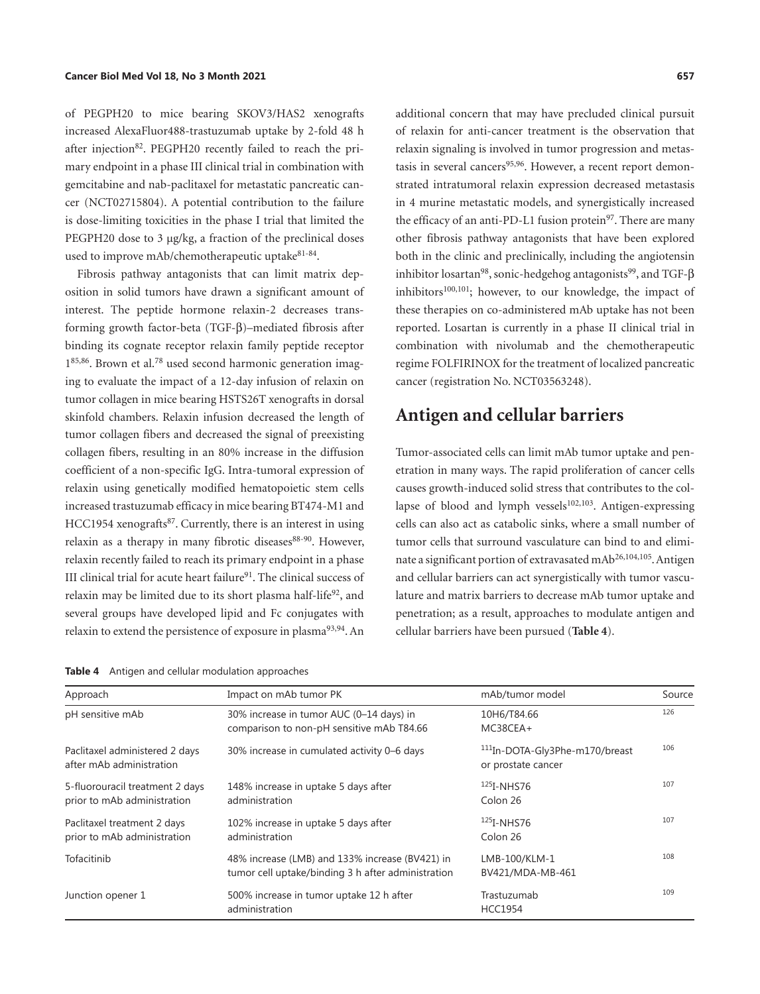<span id="page-8-1"></span>of PEGPH20 to mice bearing SKOV3/HAS2 xenografts increased AlexaFluor488-trastuzumab uptake by 2-fold 48 h after injection<sup>[82](#page-13-10)</sup>. PEGPH20 recently failed to reach the primary endpoint in a phase III clinical trial in combination with gemcitabine and nab-paclitaxel for metastatic pancreatic cancer (NCT02715804). A potential contribution to the failure is dose-limiting toxicities in the phase I trial that limited the PEGPH20 dose to 3 μg/kg, a fraction of the preclinical doses used to improve mAb/chemotherapeutic uptake<sup>81-[84](#page-13-11)</sup>.

<span id="page-8-4"></span><span id="page-8-3"></span>Fibrosis pathway antagonists that can limit matrix deposition in solid tumors have drawn a significant amount of interest. The peptide hormone relaxin-2 decreases transforming growth factor-beta (TGF-β)–mediated fibrosis after binding its cognate receptor relaxin family peptide receptor  $1^{85,86}$  $1^{85,86}$  $1^{85,86}$ . Brown et al.<sup>78</sup> used second harmonic generation imaging to evaluate the impact of a 12-day infusion of relaxin on tumor collagen in mice bearing HSTS26T xenografts in dorsal skinfold chambers. Relaxin infusion decreased the length of tumor collagen fibers and decreased the signal of preexisting collagen fibers, resulting in an 80% increase in the diffusion coefficient of a non-specific IgG. Intra-tumoral expression of relaxin using genetically modified hematopoietic stem cells increased trastuzumab efficacy in mice bearing BT474-M1 and HCC1954 xenografts<sup>[87](#page-13-14)</sup>. Currently, there is an interest in using relaxin as a therapy in many fibrotic diseases<sup>[88](#page-13-15)-[90](#page-13-16)</sup>. However, relaxin recently failed to reach its primary endpoint in a phase III clinical trial for acute heart failure<sup>91</sup>. The clinical success of relaxin may be limited due to its short plasma half-life<sup>[92](#page-13-18)</sup>, and several groups have developed lipid and Fc conjugates with relaxin to extend the persistence of exposure in plasma<sup>[93](#page-13-19),[94](#page-13-20)</sup>. An

<span id="page-8-10"></span><span id="page-8-9"></span><span id="page-8-8"></span><span id="page-8-6"></span><span id="page-8-5"></span><span id="page-8-0"></span>**Table 4** Antigen and cellular modulation approaches

<span id="page-8-14"></span><span id="page-8-13"></span><span id="page-8-12"></span><span id="page-8-2"></span>additional concern that may have precluded clinical pursuit of relaxin for anti-cancer treatment is the observation that relaxin signaling is involved in tumor progression and metas-tasis in several cancers<sup>[95](#page-13-21),96</sup>. However, a recent report demonstrated intratumoral relaxin expression decreased metastasis in 4 murine metastatic models, and synergistically increased the efficacy of an anti-PD-L1 fusion protein<sup>[97](#page-13-23)</sup>. There are many other fibrosis pathway antagonists that have been explored both in the clinic and preclinically, including the angiotensin inhibitor losartan<sup>[98](#page-13-24)</sup>, sonic-hedgehog antagonists<sup>99</sup>, and TGF- $\beta$ inhibitors<sup>[100](#page-14-2)[,101](#page-14-3)</sup>; however, to our knowledge, the impact of these therapies on co-administered mAb uptake has not been reported. Losartan is currently in a phase II clinical trial in combination with nivolumab and the chemotherapeutic regime FOLFIRINOX for the treatment of localized pancreatic cancer (registration No. NCT03563248).

## <span id="page-8-18"></span><span id="page-8-17"></span><span id="page-8-16"></span><span id="page-8-15"></span>**Antigen and cellular barriers**

<span id="page-8-21"></span><span id="page-8-20"></span><span id="page-8-19"></span><span id="page-8-11"></span><span id="page-8-7"></span>Tumor-associated cells can limit mAb tumor uptake and penetration in many ways. The rapid proliferation of cancer cells causes growth-induced solid stress that contributes to the collapse of blood and lymph vessels $102,103$ . Antigen-expressing cells can also act as catabolic sinks, where a small number of tumor cells that surround vasculature can bind to and elimi-nate a significant portion of extravasated mAb<sup>[26](#page-11-13),[104,](#page-14-6)105</sup>. Antigen and cellular barriers can act synergistically with tumor vasculature and matrix barriers to decrease mAb tumor uptake and penetration; as a result, approaches to modulate antigen and cellular barriers have been pursued (**[Table 4](#page-8-0)**).

| Approach                                                       | Impact on mAb tumor PK                                                                                | mAb/tumor model                                                  | Source |
|----------------------------------------------------------------|-------------------------------------------------------------------------------------------------------|------------------------------------------------------------------|--------|
| pH sensitive mAb                                               | 30% increase in tumor AUC (0-14 days) in<br>comparison to non-pH sensitive mAb T84.66                 | 10H6/T84.66<br>MC38CEA+                                          | 126    |
| Paclitaxel administered 2 days<br>after mAb administration     | 30% increase in cumulated activity 0–6 days                                                           | <sup>111</sup> In-DOTA-Gly3Phe-m170/breast<br>or prostate cancer | 106    |
| 5-fluorouracil treatment 2 days<br>prior to mAb administration | 148% increase in uptake 5 days after<br>administration                                                | $125I-NHST6$<br>Colon 26                                         | 107    |
| Paclitaxel treatment 2 days<br>prior to mAb administration     | 102% increase in uptake 5 days after<br>administration                                                | $125$ <sub>I</sub> -NHS76<br>Colon 26                            | 107    |
| Tofacitinib                                                    | 48% increase (LMB) and 133% increase (BV421) in<br>tumor cell uptake/binding 3 h after administration | LMB-100/KLM-1<br>BV421/MDA-MB-461                                | 108    |
| Junction opener 1                                              | 500% increase in tumor uptake 12 h after<br>administration                                            | Trastuzumab<br><b>HCC1954</b>                                    | 109    |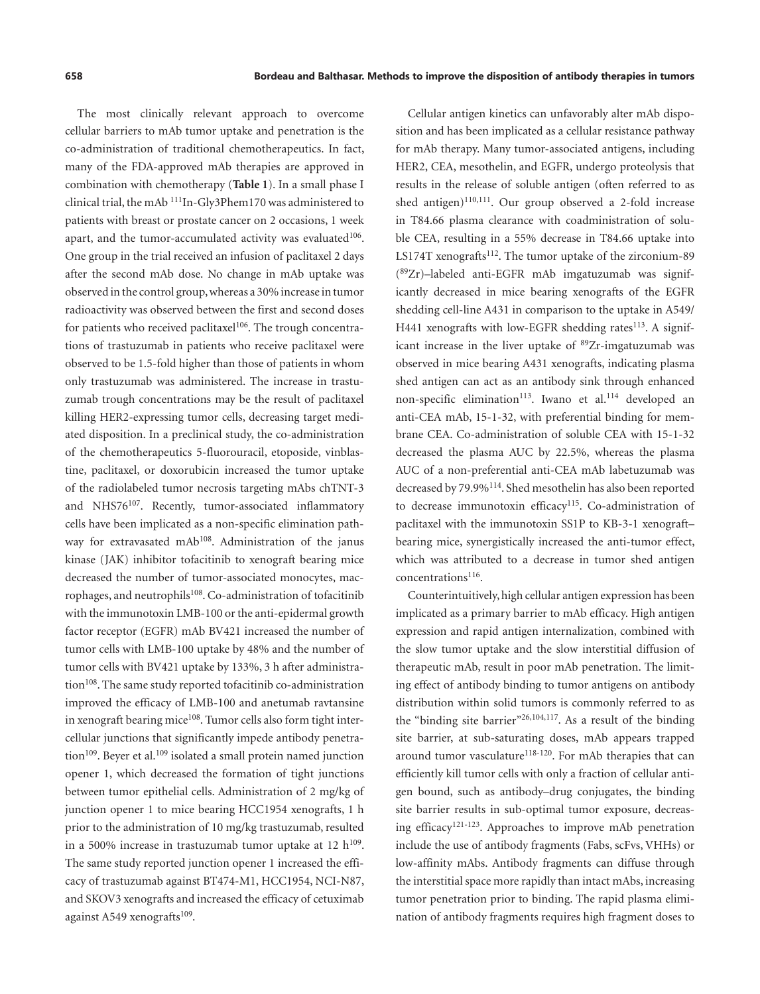<span id="page-9-0"></span>The most clinically relevant approach to overcome cellular barriers to mAb tumor uptake and penetration is the co-administration of traditional chemotherapeutics. In fact, many of the FDA-approved mAb therapies are approved in combination with chemotherapy (**[Table 1](#page-1-0)**). In a small phase I clinical trial, the mAb [111I](#page-14-0)n-Gly3Phem170 was administered to patients with breast or prostate cancer on 2 occasions, 1 week apart, and the tumor-accumulated activity was evaluated $106$ . One group in the trial received an infusion of paclitaxel 2 days after the second mAb dose. No change in mAb uptake was observed in the control group, whereas a 30% increase in tumor radioactivity was observed between the first and second doses for patients who received paclitaxel<sup>[106](#page-14-9)</sup>. The trough concentrations of trastuzumab in patients who receive paclitaxel were observed to be 1.5-fold higher than those of patients in whom only trastuzumab was administered. The increase in trastuzumab trough concentrations may be the result of paclitaxel killing HER2-expressing tumor cells, decreasing target mediated disposition. In a preclinical study, the co-administration of the chemotherapeutics 5-fluorouracil, etoposide, vinblastine, paclitaxel, or doxorubicin increased the tumor uptake of the radiolabeled tumor necrosis targeting mAbs chTNT-3 and NHS76<sup>107</sup>. Recently, tumor-associated inflammatory cells have been implicated as a non-specific elimination pathway for extravasated mAb<sup>108</sup>. Administration of the janus kinase (JAK) inhibitor tofacitinib to xenograft bearing mice decreased the number of tumor-associated monocytes, macrophages, and neutrophils<sup>108</sup>. Co-administration of tofacitinib with the immunotoxin LMB-100 or the anti-epidermal growth factor receptor (EGFR) mAb BV421 increased the number of tumor cells with LMB-100 uptake by 48% and the number of tumor cells with BV421 uptake by 133%, 3 h after administra-tion<sup>[108](#page-14-11)</sup>. The same study reported tofacitinib co-administration improved the efficacy of LMB-100 and anetumab ravtansine in xenograft bearing mice<sup>108</sup>. Tumor cells also form tight intercellular junctions that significantly impede antibody penetra-tion<sup>[109](#page-14-12)</sup>. Beyer et al.<sup>109</sup> isolated a small protein named junction opener 1, which decreased the formation of tight junctions between tumor epithelial cells. Administration of 2 mg/kg of junction opener 1 to mice bearing HCC1954 xenografts, 1 h prior to the administration of 10 mg/kg trastuzumab, resulted in a 500% increase in trastuzumab tumor uptake at 12  $h^{109}$  $h^{109}$  $h^{109}$ . The same study reported junction opener 1 increased the efficacy of trastuzumab against BT474-M1, HCC1954, NCI-N87, and SKOV3 xenografts and increased the efficacy of cetuximab against A549 xenografts $109$ .

<span id="page-9-6"></span><span id="page-9-5"></span><span id="page-9-4"></span>Cellular antigen kinetics can unfavorably alter mAb disposition and has been implicated as a cellular resistance pathway for mAb therapy. Many tumor-associated antigens, including HER2, CEA, mesothelin, and EGFR, undergo proteolysis that results in the release of soluble antigen (often referred to as shed antigen)<sup>[110](#page-14-13),111</sup>. Our group observed a 2-fold increase in T84.66 plasma clearance with coadministration of soluble CEA, resulting in a 55% decrease in T84.66 uptake into LS174T xenografts<sup>112</sup>. The tumor uptake of the zirconium-89 ([89Z](#page-13-0)r)–labeled anti-EGFR mAb imgatuzumab was significantly decreased in mice bearing xenografts of the EGFR shedding cell-line A431 in comparison to the uptake in A549/ H441 xenografts with low-EGFR shedding rates<sup>113</sup>. A signif-icant increase in the liver uptake of <sup>[89](#page-13-0)</sup>Zr-imgatuzumab was observed in mice bearing A431 xenografts, indicating plasma shed antigen can act as an antibody sink through enhanced non-specific elimination<sup>113</sup>. Iwano et al.<sup>114</sup> developed an anti-CEA mAb, 15-1-32, with preferential binding for membrane CEA. Co-administration of soluble CEA with 15-1-32 decreased the plasma AUC by 22.5%, whereas the plasma AUC of a non-preferential anti-CEA mAb labetuzumab was decreased by 79.9[%114.](#page-14-16) Shed mesothelin has also been reported to decrease immunotoxin efficacy<sup>115</sup>. Co-administration of paclitaxel with the immunotoxin SS1P to KB-3-1 xenograft– bearing mice, synergistically increased the anti-tumor effect, which was attributed to a decrease in tumor shed antigen concentrations<sup>[116](#page-14-18)</sup>.

<span id="page-9-14"></span><span id="page-9-13"></span><span id="page-9-12"></span><span id="page-9-11"></span><span id="page-9-10"></span><span id="page-9-9"></span><span id="page-9-8"></span><span id="page-9-7"></span><span id="page-9-3"></span><span id="page-9-2"></span><span id="page-9-1"></span>Counterintuitively, high cellular antigen expression has been implicated as a primary barrier to mAb efficacy. High antigen expression and rapid antigen internalization, combined with the slow tumor uptake and the slow interstitial diffusion of therapeutic mAb, result in poor mAb penetration. The limiting effect of antibody binding to tumor antigens on antibody distribution within solid tumors is commonly referred to as the "binding site barrier"[26](#page-11-13),[104](#page-14-6),[117](#page-14-19). As a result of the binding site barrier, at sub-saturating doses, mAb appears trapped around tumor vasculature<sup>[118-](#page-14-20)120</sup>. For mAb therapies that can efficiently kill tumor cells with only a fraction of cellular antigen bound, such as antibody–drug conjugates, the binding site barrier results in sub-optimal tumor exposure, decreasing efficac[y121](#page-14-22)[-123.](#page-14-23) Approaches to improve mAb penetration include the use of antibody fragments (Fabs, scFvs, VHHs) or low-affinity mAbs. Antibody fragments can diffuse through the interstitial space more rapidly than intact mAbs, increasing tumor penetration prior to binding. The rapid plasma elimination of antibody fragments requires high fragment doses to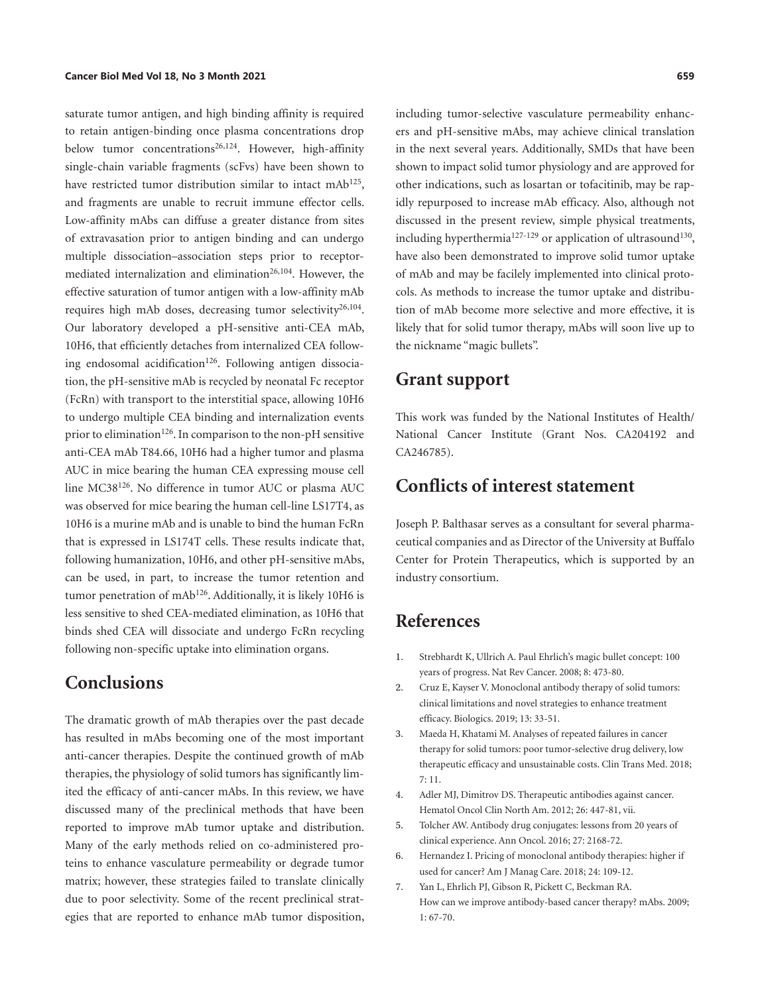<span id="page-10-6"></span>saturate tumor antigen, and high binding affinity is required to retain antigen-binding once plasma concentrations drop below tumor concentrations<sup>26,124</sup>. However, high-affinity single-chain variable fragments (scFvs) have been shown to have restricted tumor distribution similar to intact mAb<sup>[125](#page-14-1)</sup>, and fragments are unable to recruit immune effector cells. Low-affinity mAbs can diffuse a greater distance from sites of extravasation prior to antigen binding and can undergo multiple dissociation–association steps prior to receptormediated internalization and elimination<sup>26,104</sup>. However, the effective saturation of tumor antigen with a low-affinity mAb requires high mAb doses, decreasing tumor selectivity $26,104$  $26,104$  $26,104$ . Our laboratory developed a pH-sensitive anti-CEA mAb, 10H6, that efficiently detaches from internalized CEA follow-ing endosomal acidification<sup>[126](#page-14-8)</sup>. Following antigen dissociation, the pH-sensitive mAb is recycled by neonatal Fc receptor (FcRn) with transport to the interstitial space, allowing 10H6 to undergo multiple CEA binding and internalization events prior to elimination<sup>126</sup>. In comparison to the non-pH sensitive anti-CEA mAb T84.66, 10H6 had a higher tumor and plasma AUC in mice bearing the human CEA expressing mouse cell line MC38[126](#page-14-8). No difference in tumor AUC or plasma AUC was observed for mice bearing the human cell-line LS17T4, as 10H6 is a murine mAb and is unable to bind the human FcRn that is expressed in LS174T cells. These results indicate that, following humanization, 10H6, and other pH-sensitive mAbs, can be used, in part, to increase the tumor retention and tumor penetration of mA[b126.](#page-14-8) Additionally, it is likely 10H6 is less sensitive to shed CEA-mediated elimination, as 10H6 that binds shed CEA will dissociate and undergo FcRn recycling following non-specific uptake into elimination organs.

## **Conclusions**

The dramatic growth of mAb therapies over the past decade has resulted in mAbs becoming one of the most important anti-cancer therapies. Despite the continued growth of mAb therapies, the physiology of solid tumors has significantly limited the efficacy of anti-cancer mAbs. In this review, we have discussed many of the preclinical methods that have been reported to improve mAb tumor uptake and distribution. Many of the early methods relied on co-administered proteins to enhance vasculature permeability or degrade tumor matrix; however, these strategies failed to translate clinically due to poor selectivity. Some of the recent preclinical strategies that are reported to enhance mAb tumor disposition, <span id="page-10-9"></span><span id="page-10-8"></span><span id="page-10-7"></span><span id="page-10-5"></span>including tumor-selective vasculature permeability enhancers and pH-sensitive mAbs, may achieve clinical translation in the next several years. Additionally, SMDs that have been shown to impact solid tumor physiology and are approved for other indications, such as losartan or tofacitinib, may be rapidly repurposed to increase mAb efficacy. Also, although not discussed in the present review, simple physical treatments, including hyperthermia<sup>[127](#page-14-25)-[129](#page-15-2)</sup> or application of ultrasound<sup>[130](#page-15-1)</sup>, have also been demonstrated to improve solid tumor uptake of mAb and may be facilely implemented into clinical protocols. As methods to increase the tumor uptake and distribution of mAb become more selective and more effective, it is likely that for solid tumor therapy, mAbs will soon live up to the nickname "magic bullets".

### **Grant support**

This work was funded by the National Institutes of Health/ National Cancer Institute (Grant Nos. CA204192 and CA246785).

## **Conflicts of interest statement**

Joseph P. Balthasar serves as a consultant for several pharmaceutical companies and as Director of the University at Buffalo Center for Protein Therapeutics, which is supported by an industry consortium.

# **References**

- <span id="page-10-0"></span>[1](#page-0-0). Strebhardt K, Ullrich A. Paul Ehrlich's magic bullet concept: 100 years of progress. Nat Rev Cancer. 2008; 8: 473-80.
- <span id="page-10-1"></span>[2](#page-0-1). Cruz E, Kayser V. Monoclonal antibody therapy of solid tumors: clinical limitations and novel strategies to enhance treatment efficacy. Biologics. 2019; 13: 33-51.
- 3. Maeda H, Khatami M. Analyses of repeated failures in cancer therapy for solid tumors: poor tumor-selective drug delivery, low therapeutic efficacy and unsustainable costs. Clin Trans Med. 2018; 7: 11.
- 4. Adler MJ, Dimitrov DS. Therapeutic antibodies against cancer. Hematol Oncol Clin North Am. 2012; 26: 447-81, vii.
- <span id="page-10-2"></span>[5](#page-0-2). Tolcher AW. Antibody drug conjugates: lessons from 20 years of clinical experience. Ann Oncol. 2016; 27: 2168-72.
- <span id="page-10-3"></span>[6](#page-0-3). Hernandez I. Pricing of monoclonal antibody therapies: higher if used for cancer? Am J Manag Care. 2018; 24: 109-12.
- <span id="page-10-4"></span>[7](#page-0-4). Yan L, Ehrlich PJ, Gibson R, Pickett C, Beckman RA. How can we improve antibody-based cancer therapy? mAbs. 2009; 1: 67-70.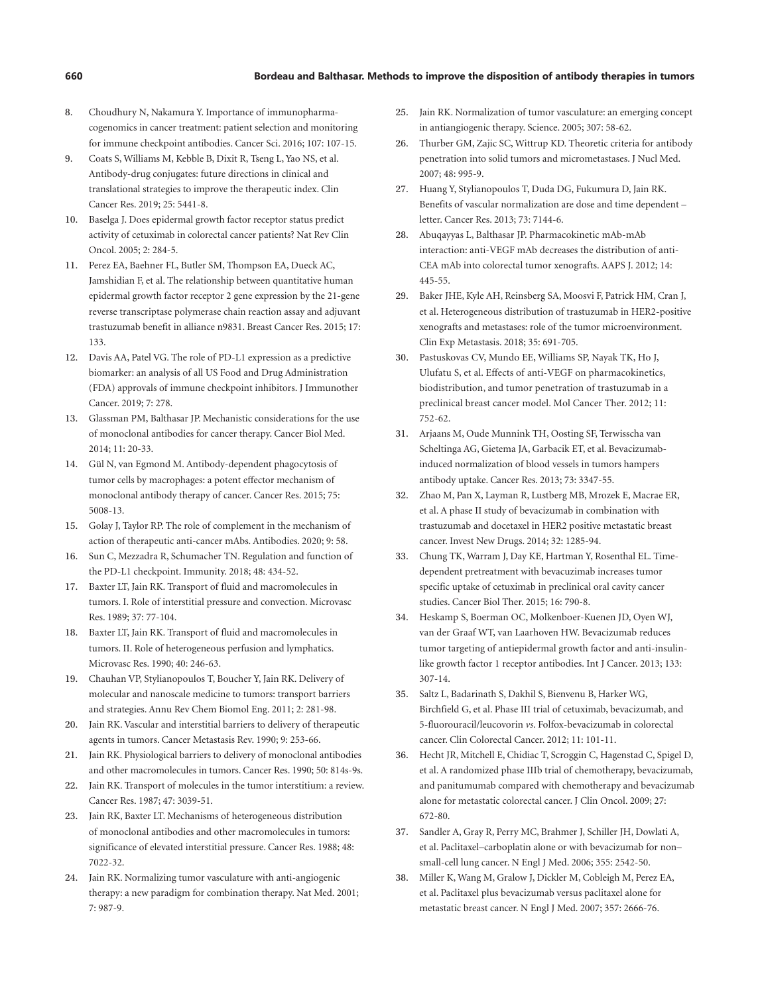#### **660 Bordeau and Balthasar. Methods to improve the disposition of antibody therapies in tumors**

- 8. Choudhury N, Nakamura Y. Importance of immunopharmacogenomics in cancer treatment: patient selection and monitoring for immune checkpoint antibodies. Cancer Sci. 2016; 107: 107-15.
- <span id="page-11-0"></span>[9](#page-0-5). Coats S, Williams M, Kebble B, Dixit R, Tseng L, Yao NS, et al. Antibody-drug conjugates: future directions in clinical and translational strategies to improve the therapeutic index. Clin Cancer Res. 2019; 25: 5441-8.
- <span id="page-11-1"></span>[10](#page-0-6). Baselga J. Does epidermal growth factor receptor status predict activity of cetuximab in colorectal cancer patients? Nat Rev Clin Oncol. 2005; 2: 284-5.
- 11. Perez EA, Baehner FL, Butler SM, Thompson EA, Dueck AC, Jamshidian F, et al. The relationship between quantitative human epidermal growth factor receptor 2 gene expression by the 21-gene reverse transcriptase polymerase chain reaction assay and adjuvant trastuzumab benefit in alliance n9831. Breast Cancer Res. 2015; 17: 133.
- <span id="page-11-2"></span>[12](#page-0-7). Davis AA, Patel VG. The role of PD-L1 expression as a predictive biomarker: an analysis of all US Food and Drug Administration (FDA) approvals of immune checkpoint inhibitors. J Immunother Cancer. 2019; 7: 278.
- <span id="page-11-3"></span>[13](#page-3-1). Glassman PM, Balthasar JP. Mechanistic considerations for the use of monoclonal antibodies for cancer therapy. Cancer Biol Med. 2014; 11: 20-33.
- <span id="page-11-4"></span>[14](#page-3-2). Gül N, van Egmond M. Antibody-dependent phagocytosis of tumor cells by macrophages: a potent effector mechanism of monoclonal antibody therapy of cancer. Cancer Res. 2015; 75: 5008-13.
- <span id="page-11-5"></span>[15](#page-3-3). Golay J, Taylor RP. The role of complement in the mechanism of action of therapeutic anti-cancer mAbs. Antibodies. 2020; 9: 58.
- <span id="page-11-6"></span>[16](#page-3-4). Sun C, Mezzadra R, Schumacher TN. Regulation and function of the PD-L1 checkpoint. Immunity. 2018; 48: 434-52.
- <span id="page-11-7"></span>[17](#page-3-5). Baxter LT, Jain RK. Transport of fluid and macromolecules in tumors. I. Role of interstitial pressure and convection. Microvasc Res. 1989; 37: 77-104.
- <span id="page-11-9"></span>[18](#page-3-6). Baxter LT, Jain RK. Transport of fluid and macromolecules in tumors. II. Role of heterogeneous perfusion and lymphatics. Microvasc Res. 1990; 40: 246-63.
- 19. Chauhan VP, Stylianopoulos T, Boucher Y, Jain RK. Delivery of molecular and nanoscale medicine to tumors: transport barriers and strategies. Annu Rev Chem Biomol Eng. 2011; 2: 281-98.
- <span id="page-11-10"></span>[20](#page-3-7). Jain RK. Vascular and interstitial barriers to delivery of therapeutic agents in tumors. Cancer Metastasis Rev. 1990; 9: 253-66.
- 21. Jain RK. Physiological barriers to delivery of monoclonal antibodies and other macromolecules in tumors. Cancer Res. 1990; 50: 814s-9s.
- <span id="page-11-24"></span>[22](#page-7-1). Jain RK. Transport of molecules in the tumor interstitium: a review. Cancer Res. 1987; 47: 3039-51.
- <span id="page-11-8"></span>[23](#page-3-8). Jain RK, Baxter LT. Mechanisms of heterogeneous distribution of monoclonal antibodies and other macromolecules in tumors: significance of elevated interstitial pressure. Cancer Res. 1988; 48: 7022-32.
- <span id="page-11-11"></span>[24](#page-3-7). Jain RK. Normalizing tumor vasculature with anti-angiogenic therapy: a new paradigm for combination therapy. Nat Med. 2001; 7: 987-9.
- <span id="page-11-12"></span>[25](#page-3-7). Jain RK. Normalization of tumor vasculature: an emerging concept in antiangiogenic therapy. Science. 2005; 307: 58-62.
- <span id="page-11-13"></span>[26](#page-4-0). Thurber GM, Zajic SC, Wittrup KD. Theoretic criteria for antibody penetration into solid tumors and micrometastases. J Nucl Med. 2007; 48: 995-9.
- <span id="page-11-14"></span>[27](#page-4-1). Huang Y, Stylianopoulos T, Duda DG, Fukumura D, Jain RK. Benefits of vascular normalization are dose and time dependent – letter. Cancer Res. 2013; 73: 7144-6.
- <span id="page-11-15"></span>[28](#page-4-2). Abuqayyas L, Balthasar JP. Pharmacokinetic mAb-mAb interaction: anti-VEGF mAb decreases the distribution of anti-CEA mAb into colorectal tumor xenografts. AAPS J. 2012; 14: 445-55.
- <span id="page-11-16"></span>[29](#page-4-3). Baker JHE, Kyle AH, Reinsberg SA, Moosvi F, Patrick HM, Cran J, et al. Heterogeneous distribution of trastuzumab in HER2-positive xenografts and metastases: role of the tumor microenvironment. Clin Exp Metastasis. 2018; 35: 691-705.
- 30. Pastuskovas CV, Mundo EE, Williams SP, Nayak TK, Ho J, Ulufatu S, et al. Effects of anti-VEGF on pharmacokinetics, biodistribution, and tumor penetration of trastuzumab in a preclinical breast cancer model. Mol Cancer Ther. 2012; 11: 752-62.
- <span id="page-11-17"></span>[31](#page-4-4). Arjaans M, Oude Munnink TH, Oosting SF, Terwisscha van Scheltinga AG, Gietema JA, Garbacik ET, et al. Bevacizumabinduced normalization of blood vessels in tumors hampers antibody uptake. Cancer Res. 2013; 73: 3347-55.
- <span id="page-11-18"></span>[32](#page-4-5). Zhao M, Pan X, Layman R, Lustberg MB, Mrozek E, Macrae ER, et al. A phase II study of bevacizumab in combination with trastuzumab and docetaxel in HER2 positive metastatic breast cancer. Invest New Drugs. 2014; 32: 1285-94.
- <span id="page-11-19"></span>[33](#page-4-6). Chung TK, Warram J, Day KE, Hartman Y, Rosenthal EL. Timedependent pretreatment with bevacuzimab increases tumor specific uptake of cetuximab in preclinical oral cavity cancer studies. Cancer Biol Ther. 2015; 16: 790-8.
- <span id="page-11-20"></span>[34](#page-4-7). Heskamp S, Boerman OC, Molkenboer-Kuenen JD, Oyen WJ, van der Graaf WT, van Laarhoven HW. Bevacizumab reduces tumor targeting of antiepidermal growth factor and anti-insulinlike growth factor 1 receptor antibodies. Int J Cancer. 2013; 133: 307-14.
- <span id="page-11-21"></span>[35](#page-4-8). Saltz L, Badarinath S, Dakhil S, Bienvenu B, Harker WG, Birchfield G, et al. Phase III trial of cetuximab, bevacizumab, and 5-fluorouracil/leucovorin *vs*. Folfox-bevacizumab in colorectal cancer. Clin Colorectal Cancer. 2012; 11: 101-11.
- <span id="page-11-22"></span>[36](#page-4-9). Hecht JR, Mitchell E, Chidiac T, Scroggin C, Hagenstad C, Spigel D, et al. A randomized phase IIIb trial of chemotherapy, bevacizumab, and panitumumab compared with chemotherapy and bevacizumab alone for metastatic colorectal cancer. J Clin Oncol. 2009; 27: 672-80.
- <span id="page-11-23"></span>[37](#page-4-10). Sandler A, Gray R, Perry MC, Brahmer J, Schiller JH, Dowlati A, et al. Paclitaxel–carboplatin alone or with bevacizumab for non– small-cell lung cancer. N Engl J Med. 2006; 355: 2542-50.
- 38. Miller K, Wang M, Gralow J, Dickler M, Cobleigh M, Perez EA, et al. Paclitaxel plus bevacizumab versus paclitaxel alone for metastatic breast cancer. N Engl J Med. 2007; 357: 2666-76.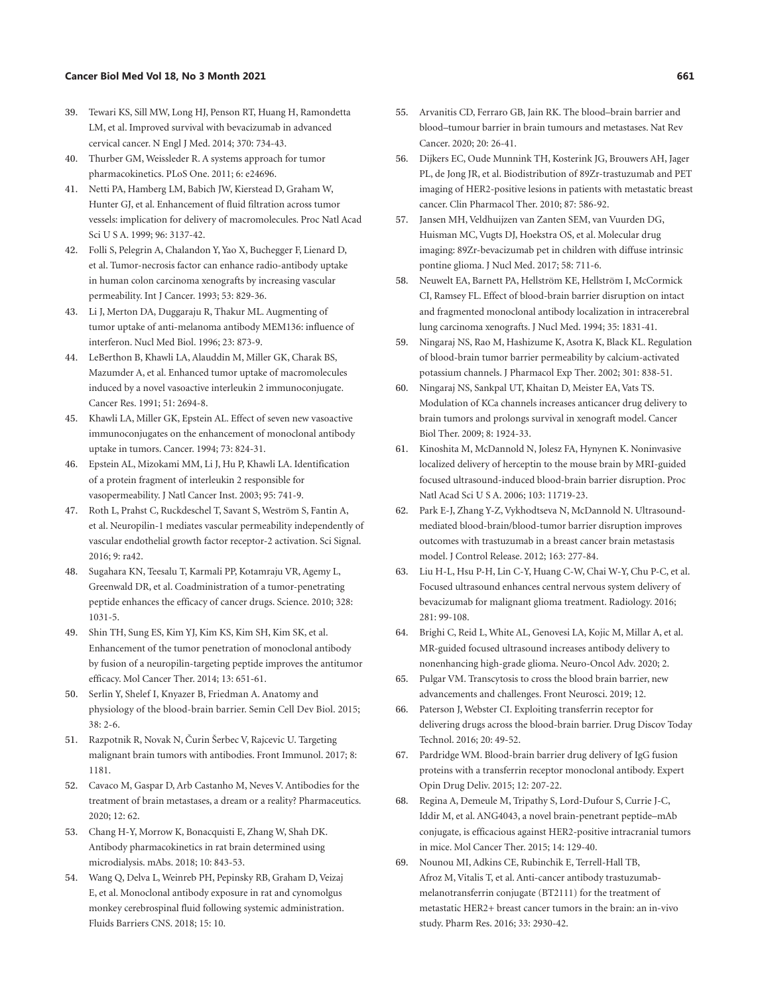#### **Cancer Biol Med Vol 18, No 3 Month 2021 661**

- <span id="page-12-0"></span>[39](#page-4-11). Tewari KS, Sill MW, Long HJ, Penson RT, Huang H, Ramondetta LM, et al. Improved survival with bevacizumab in advanced cervical cancer. N Engl J Med. 2014; 370: 734-43.
- <span id="page-12-1"></span>[40](#page-4-12). Thurber GM, Weissleder R. A systems approach for tumor pharmacokinetics. PLoS One. 2011; 6: e24696.
- <span id="page-12-2"></span>[41](#page-4-13). Netti PA, Hamberg LM, Babich JW, Kierstead D, Graham W, Hunter GJ, et al. Enhancement of fluid filtration across tumor vessels: implication for delivery of macromolecules. Proc Natl Acad Sci U S A. 1999; 96: 3137-42.
- <span id="page-12-10"></span>[42](#page-5-1). Folli S, Pelegrin A, Chalandon Y, Yao X, Buchegger F, Lienard D, et al. Tumor-necrosis factor can enhance radio-antibody uptake in human colon carcinoma xenografts by increasing vascular permeability. Int J Cancer. 1993; 53: 829-36.
- <span id="page-12-4"></span>[43](#page-4-14). Li J, Merton DA, Duggaraju R, Thakur ML. Augmenting of tumor uptake of anti-melanoma antibody MEM136: influence of interferon. Nucl Med Biol. 1996; 23: 873-9.
- <span id="page-12-3"></span>[44](#page-4-15). LeBerthon B, Khawli LA, Alauddin M, Miller GK, Charak BS, Mazumder A, et al. Enhanced tumor uptake of macromolecules induced by a novel vasoactive interleukin 2 immunoconjugate. Cancer Res. 1991; 51: 2694-8.
- <span id="page-12-5"></span>[45](#page-4-16). Khawli LA, Miller GK, Epstein AL. Effect of seven new vasoactive immunoconjugates on the enhancement of monoclonal antibody uptake in tumors. Cancer. 1994; 73: 824-31.
- <span id="page-12-6"></span>[46](#page-4-17). Epstein AL, Mizokami MM, Li J, Hu P, Khawli LA. Identification of a protein fragment of interleukin 2 responsible for vasopermeability. J Natl Cancer Inst. 2003; 95: 741-9.
- <span id="page-12-7"></span>[47](#page-4-18). Roth L, Prahst C, Ruckdeschel T, Savant S, Weström S, Fantin A, et al. Neuropilin-1 mediates vascular permeability independently of vascular endothelial growth factor receptor-2 activation. Sci Signal. 2016; 9: ra42.
- <span id="page-12-8"></span>[48](#page-4-19). Sugahara KN, Teesalu T, Karmali PP, Kotamraju VR, Agemy L, Greenwald DR, et al. Coadministration of a tumor-penetrating peptide enhances the efficacy of cancer drugs. Science. 2010; 328: 1031-5.
- <span id="page-12-9"></span>[49](#page-4-20). Shin TH, Sung ES, Kim YJ, Kim KS, Kim SH, Kim SK, et al. Enhancement of the tumor penetration of monoclonal antibody by fusion of a neuropilin-targeting peptide improves the antitumor efficacy. Mol Cancer Ther. 2014; 13: 651-61.
- <span id="page-12-15"></span>[50](#page-6-0). Serlin Y, Shelef I, Knyazer B, Friedman A. Anatomy and physiology of the blood-brain barrier. Semin Cell Dev Biol. 2015; 38: 2-6.
- <span id="page-12-16"></span>[51](#page-6-1). Razpotnik R, Novak N, Čurin Šerbec V, Rajcevic U. Targeting malignant brain tumors with antibodies. Front Immunol. 2017; 8: 1181.
- <span id="page-12-17"></span>[52](#page-6-2). Cavaco M, Gaspar D, Arb Castanho M, Neves V. Antibodies for the treatment of brain metastases, a dream or a reality? Pharmaceutics. 2020; 12: 62.
- <span id="page-12-18"></span>[53](#page-6-3). Chang H-Y, Morrow K, Bonacquisti E, Zhang W, Shah DK. Antibody pharmacokinetics in rat brain determined using microdialysis. mAbs. 2018; 10: 843-53.
- <span id="page-12-19"></span>[54](#page-6-4). Wang Q, Delva L, Weinreb PH, Pepinsky RB, Graham D, Veizaj E, et al. Monoclonal antibody exposure in rat and cynomolgus monkey cerebrospinal fluid following systemic administration. Fluids Barriers CNS. 2018; 15: 10.
- <span id="page-12-20"></span>[55](#page-6-5). Arvanitis CD, Ferraro GB, Jain RK. The blood–brain barrier and blood–tumour barrier in brain tumours and metastases. Nat Rev Cancer. 2020; 20: 26-41.
- <span id="page-12-21"></span>[56](#page-6-6). Dijkers EC, Oude Munnink TH, Kosterink JG, Brouwers AH, Jager PL, de Jong JR, et al. Biodistribution of 89Zr-trastuzumab and PET imaging of HER2-positive lesions in patients with metastatic breast cancer. Clin Pharmacol Ther. 2010; 87: 586-92.
- <span id="page-12-22"></span>[57](#page-6-7). Jansen MH, Veldhuijzen van Zanten SEM, van Vuurden DG, Huisman MC, Vugts DJ, Hoekstra OS, et al. Molecular drug imaging: 89Zr-bevacizumab pet in children with diffuse intrinsic pontine glioma. J Nucl Med. 2017; 58: 711-6.
- <span id="page-12-11"></span>[58](#page-6-8). Neuwelt EA, Barnett PA, Hellström KE, Hellström I, McCormick CI, Ramsey FL. Effect of blood-brain barrier disruption on intact and fragmented monoclonal antibody localization in intracerebral lung carcinoma xenografts. J Nucl Med. 1994; 35: 1831-41.
- <span id="page-12-23"></span>[59](#page-6-9). Ningaraj NS, Rao M, Hashizume K, Asotra K, Black KL. Regulation of blood-brain tumor barrier permeability by calcium-activated potassium channels. J Pharmacol Exp Ther. 2002; 301: 838-51.
- <span id="page-12-24"></span>[60](#page-6-10). Ningaraj NS, Sankpal UT, Khaitan D, Meister EA, Vats TS. Modulation of KCa channels increases anticancer drug delivery to brain tumors and prolongs survival in xenograft model. Cancer Biol Ther. 2009; 8: 1924-33.
- <span id="page-12-25"></span>[61](#page-6-11). Kinoshita M, McDannold N, Jolesz FA, Hynynen K. Noninvasive localized delivery of herceptin to the mouse brain by MRI-guided focused ultrasound-induced blood-brain barrier disruption. Proc Natl Acad Sci U S A. 2006; 103: 11719-23.
- <span id="page-12-26"></span>[62](#page-6-12). Park E-J, Zhang Y-Z, Vykhodtseva N, McDannold N. Ultrasoundmediated blood-brain/blood-tumor barrier disruption improves outcomes with trastuzumab in a breast cancer brain metastasis model. J Control Release. 2012; 163: 277-84.
- <span id="page-12-12"></span>[63](#page-6-13). Liu H-L, Hsu P-H, Lin C-Y, Huang C-W, Chai W-Y, Chu P-C, et al. Focused ultrasound enhances central nervous system delivery of bevacizumab for malignant glioma treatment. Radiology. 2016; 281: 99-108.
- <span id="page-12-27"></span>[64](#page-6-14). Brighi C, Reid L, White AL, Genovesi LA, Kojic M, Millar A, et al. MR-guided focused ultrasound increases antibody delivery to nonenhancing high-grade glioma. Neuro-Oncol Adv. 2020; 2.
- <span id="page-12-28"></span>[65](#page-6-15). Pulgar VM. Transcytosis to cross the blood brain barrier, new advancements and challenges. Front Neurosci. 2019; 12.
- 66. Paterson J, Webster CI. Exploiting transferrin receptor for delivering drugs across the blood-brain barrier. Drug Discov Today Technol. 2016; 20: 49-52.
- <span id="page-12-29"></span>[67](#page-6-16). Pardridge WM. Blood-brain barrier drug delivery of IgG fusion proteins with a transferrin receptor monoclonal antibody. Expert Opin Drug Deliv. 2015; 12: 207-22.
- <span id="page-12-13"></span>[68](#page-6-17). Regina A, Demeule M, Tripathy S, Lord-Dufour S, Currie J-C, Iddir M, et al. ANG4043, a novel brain-penetrant peptide–mAb conjugate, is efficacious against HER2-positive intracranial tumors in mice. Mol Cancer Ther. 2015; 14: 129-40.
- <span id="page-12-14"></span>[69](#page-6-18). Nounou MI, Adkins CE, Rubinchik E, Terrell-Hall TB, Afroz M, Vitalis T, et al. Anti-cancer antibody trastuzumabmelanotransferrin conjugate (BT2111) for the treatment of metastatic HER2+ breast cancer tumors in the brain: an in-vivo study. Pharm Res. 2016; 33: 2930-42.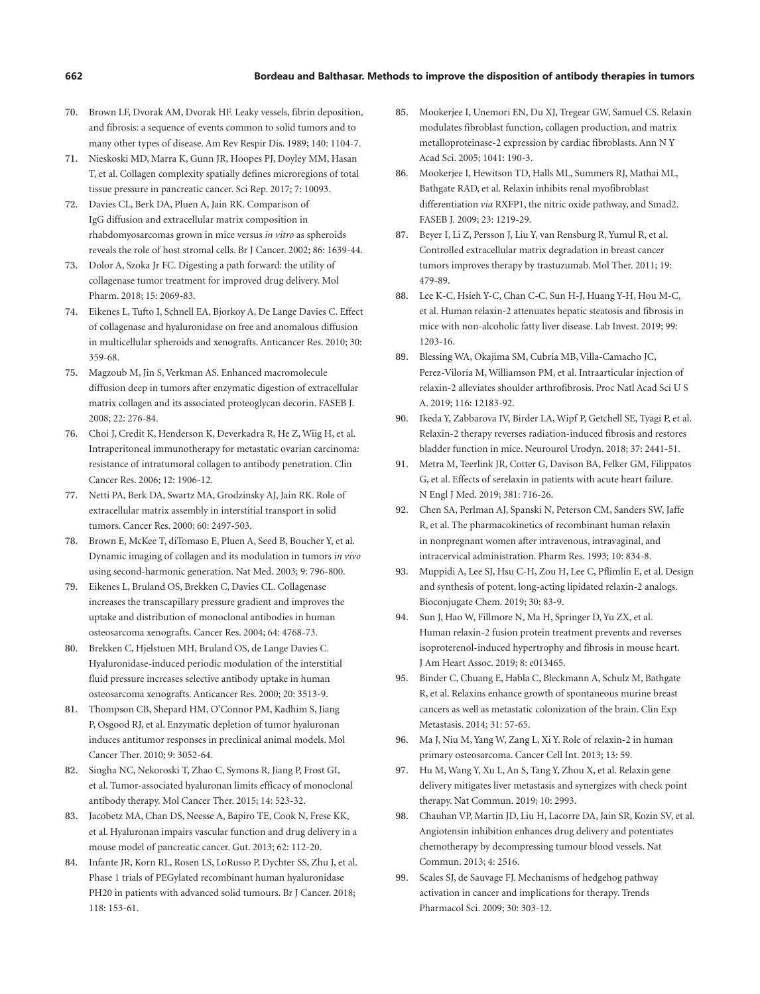- <span id="page-13-1"></span>[70](#page-7-2). Brown LF, Dvorak AM, Dvorak HF. Leaky vessels, fibrin deposition, and fibrosis: a sequence of events common to solid tumors and to many other types of disease. Am Rev Respir Dis. 1989; 140: 1104-7.
- <span id="page-13-2"></span>[71](#page-7-3). Nieskoski MD, Marra K, Gunn JR, Hoopes PJ, Doyley MM, Hasan T, et al. Collagen complexity spatially defines microregions of total tissue pressure in pancreatic cancer. Sci Rep. 2017; 7: 10093.
- <span id="page-13-3"></span>[72](#page-7-4). Davies CL, Berk DA, Pluen A, Jain RK. Comparison of IgG diffusion and extracellular matrix composition in rhabdomyosarcomas grown in mice versus *in vitro* as spheroids reveals the role of host stromal cells. Br J Cancer. 2002; 86: 1639-44.
- <span id="page-13-7"></span>[73](#page-7-5). Dolor A, Szoka Jr FC. Digesting a path forward: the utility of collagenase tumor treatment for improved drug delivery. Mol Pharm. 2018; 15: 2069-83.
- 74. Eikenes L, Tufto I, Schnell EA, Bjorkoy A, De Lange Davies C. Effect of collagenase and hyaluronidase on free and anomalous diffusion in multicellular spheroids and xenografts. Anticancer Res. 2010; 30: 359-68.
- 75. Magzoub M, Jin S, Verkman AS. Enhanced macromolecule diffusion deep in tumors after enzymatic digestion of extracellular matrix collagen and its associated proteoglycan decorin. FASEB J. 2008; 22: 276-84.
- 76. Choi J, Credit K, Henderson K, Deverkadra R, He Z, Wiig H, et al. Intraperitoneal immunotherapy for metastatic ovarian carcinoma: resistance of intratumoral collagen to antibody penetration. Clin Cancer Res. 2006; 12: 1906-12.
- <span id="page-13-4"></span>[77](#page-7-6). Netti PA, Berk DA, Swartz MA, Grodzinsky AJ, Jain RK. Role of extracellular matrix assembly in interstitial transport in solid tumors. Cancer Res. 2000; 60: 2497-503.
- <span id="page-13-5"></span>[78](#page-7-7). Brown E, McKee T, diTomaso E, Pluen A, Seed B, Boucher Y, et al. Dynamic imaging of collagen and its modulation in tumors *in vivo* using second-harmonic generation. Nat Med. 2003; 9: 796-800.
- <span id="page-13-6"></span>[79](#page-7-8). Eikenes L, Bruland OS, Brekken C, Davies CL. Collagenase increases the transcapillary pressure gradient and improves the uptake and distribution of monoclonal antibodies in human osteosarcoma xenografts. Cancer Res. 2004; 64: 4768-73.
- <span id="page-13-8"></span>[80](#page-7-9). Brekken C, Hjelstuen MH, Bruland OS, de Lange Davies C. Hyaluronidase-induced periodic modulation of the interstitial fluid pressure increases selective antibody uptake in human osteosarcoma xenografts. Anticancer Res. 2000; 20: 3513-9.
- <span id="page-13-9"></span>[81](#page-7-10). Thompson CB, Shepard HM, O'Connor PM, Kadhim S, Jiang P, Osgood RJ, et al. Enzymatic depletion of tumor hyaluronan induces antitumor responses in preclinical animal models. Mol Cancer Ther. 2010; 9: 3052-64.
- <span id="page-13-10"></span>[82](#page-8-1). Singha NC, Nekoroski T, Zhao C, Symons R, Jiang P, Frost GI, et al. Tumor-associated hyaluronan limits efficacy of monoclonal antibody therapy. Mol Cancer Ther. 2015; 14: 523-32.
- 83. Jacobetz MA, Chan DS, Neesse A, Bapiro TE, Cook N, Frese KK, et al. Hyaluronan impairs vascular function and drug delivery in a mouse model of pancreatic cancer. Gut. 2013; 62: 112-20.
- <span id="page-13-11"></span>[84](#page-8-2). Infante JR, Korn RL, Rosen LS, LoRusso P, Dychter SS, Zhu J, et al. Phase 1 trials of PEGylated recombinant human hyaluronidase PH20 in patients with advanced solid tumours. Br J Cancer. 2018; 118: 153-61.
- <span id="page-13-12"></span>[85](#page-8-3). Mookerjee I, Unemori EN, Du XJ, Tregear GW, Samuel CS. Relaxin modulates fibroblast function, collagen production, and matrix metalloproteinase-2 expression by cardiac fibroblasts. Ann N Y Acad Sci. 2005; 1041: 190-3.
- <span id="page-13-13"></span>[86](#page-8-4). Mookerjee I, Hewitson TD, Halls ML, Summers RJ, Mathai ML, Bathgate RAD, et al. Relaxin inhibits renal myofibroblast differentiation *via* RXFP1, the nitric oxide pathway, and Smad2. FASEB J. 2009; 23: 1219-29.
- <span id="page-13-14"></span>[87](#page-8-5). Beyer I, Li Z, Persson J, Liu Y, van Rensburg R, Yumul R, et al. Controlled extracellular matrix degradation in breast cancer tumors improves therapy by trastuzumab. Mol Ther. 2011; 19: 479-89.
- <span id="page-13-15"></span>[88](#page-8-6). Lee K-C, Hsieh Y-C, Chan C-C, Sun H-J, Huang Y-H, Hou M-C, et al. Human relaxin-2 attenuates hepatic steatosis and fibrosis in mice with non-alcoholic fatty liver disease. Lab Invest. 2019; 99: 1203-16.
- <span id="page-13-0"></span>[89](#page-6-19). Blessing WA, Okajima SM, Cubria MB, Villa-Camacho JC, Perez-Viloria M, Williamson PM, et al. Intraarticular injection of relaxin-2 alleviates shoulder arthrofibrosis. Proc Natl Acad Sci U S A. 2019; 116: 12183-92.
- <span id="page-13-16"></span>[90](#page-8-7). Ikeda Y, Zabbarova IV, Birder LA, Wipf P, Getchell SE, Tyagi P, et al. Relaxin-2 therapy reverses radiation-induced fibrosis and restores bladder function in mice. Neurourol Urodyn. 2018; 37: 2441-51.
- <span id="page-13-17"></span>[91](#page-8-8). Metra M, Teerlink JR, Cotter G, Davison BA, Felker GM, Filippatos G, et al. Effects of serelaxin in patients with acute heart failure. N Engl J Med. 2019; 381: 716-26.
- <span id="page-13-18"></span>[92](#page-8-9). Chen SA, Perlman AJ, Spanski N, Peterson CM, Sanders SW, Jaffe R, et al. The pharmacokinetics of recombinant human relaxin in nonpregnant women after intravenous, intravaginal, and intracervical administration. Pharm Res. 1993; 10: 834-8.
- <span id="page-13-19"></span>[93](#page-8-10). Muppidi A, Lee SJ, Hsu C-H, Zou H, Lee C, Pflimlin E, et al. Design and synthesis of potent, long-acting lipidated relaxin-2 analogs. Bioconjugate Chem. 2019; 30: 83-9.
- <span id="page-13-20"></span>[94](#page-8-11). Sun J, Hao W, Fillmore N, Ma H, Springer D, Yu ZX, et al. Human relaxin-2 fusion protein treatment prevents and reverses isoproterenol-induced hypertrophy and fibrosis in mouse heart. J Am Heart Assoc. 2019; 8: e013465.
- <span id="page-13-21"></span>[95](#page-8-12). Binder C, Chuang E, Habla C, Bleckmann A, Schulz M, Bathgate R, et al. Relaxins enhance growth of spontaneous murine breast cancers as well as metastatic colonization of the brain. Clin Exp Metastasis. 2014; 31: 57-65.
- <span id="page-13-22"></span>[96](#page-8-13). Ma J, Niu M, Yang W, Zang L, Xi Y. Role of relaxin-2 in human primary osteosarcoma. Cancer Cell Int. 2013; 13: 59.
- <span id="page-13-23"></span>[97](#page-8-14). Hu M, Wang Y, Xu L, An S, Tang Y, Zhou X, et al. Relaxin gene delivery mitigates liver metastasis and synergizes with check point therapy. Nat Commun. 2019; 10: 2993.
- <span id="page-13-24"></span>[98](#page-8-15). Chauhan VP, Martin JD, Liu H, Lacorre DA, Jain SR, Kozin SV, et al. Angiotensin inhibition enhances drug delivery and potentiates chemotherapy by decompressing tumour blood vessels. Nat Commun. 2013; 4: 2516.
- <span id="page-13-25"></span>[99](#page-8-16). Scales SJ, de Sauvage FJ. Mechanisms of hedgehog pathway activation in cancer and implications for therapy. Trends Pharmacol Sci. 2009; 30: 303-12.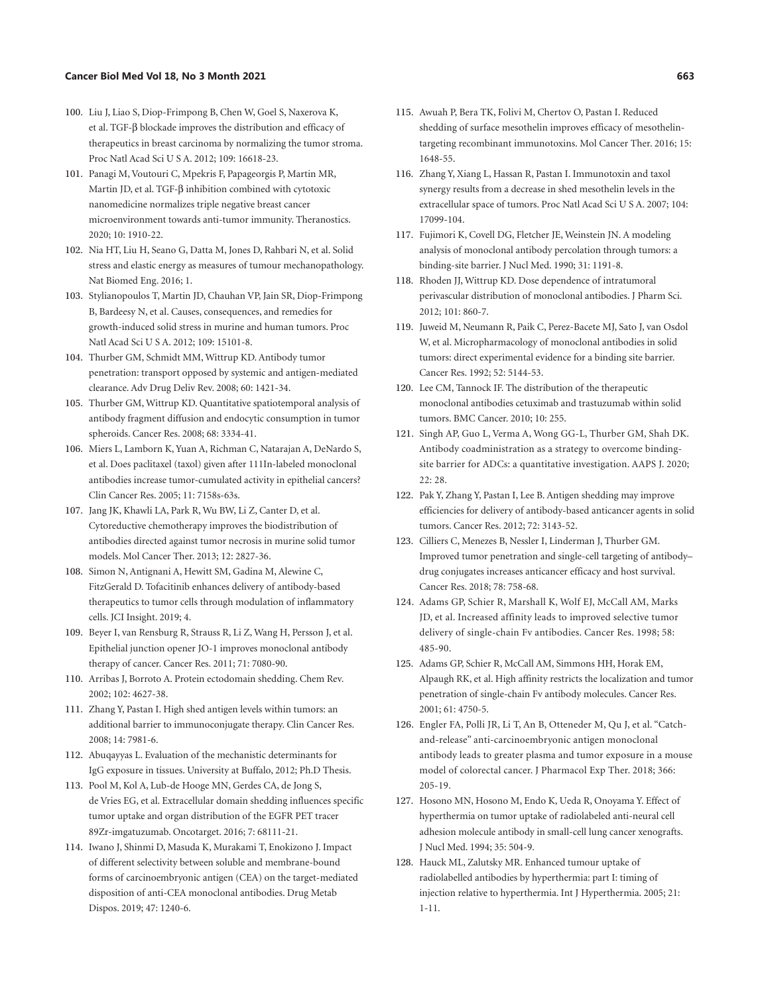#### **Cancer Biol Med Vol 18, No 3 Month 2021 663**

- <span id="page-14-2"></span>[100](#page-8-17). Liu J, Liao S, Diop-Frimpong B, Chen W, Goel S, Naxerova K, et al. TGF-β blockade improves the distribution and efficacy of therapeutics in breast carcinoma by normalizing the tumor stroma. Proc Natl Acad Sci U S A. 2012; 109: 16618-23.
- <span id="page-14-3"></span>[101](#page-8-18). Panagi M, Voutouri C, Mpekris F, Papageorgis P, Martin MR, Martin JD, et al. TGF-β inhibition combined with cytotoxic nanomedicine normalizes triple negative breast cancer microenvironment towards anti-tumor immunity. Theranostics. 2020; 10: 1910-22.
- <span id="page-14-4"></span>[102](#page-8-19). Nia HT, Liu H, Seano G, Datta M, Jones D, Rahbari N, et al. Solid stress and elastic energy as measures of tumour mechanopathology. Nat Biomed Eng. 2016; 1.
- <span id="page-14-5"></span>[103](#page-8-20). Stylianopoulos T, Martin JD, Chauhan VP, Jain SR, Diop-Frimpong B, Bardeesy N, et al. Causes, consequences, and remedies for growth-induced solid stress in murine and human tumors. Proc Natl Acad Sci U S A. 2012; 109: 15101-8.
- <span id="page-14-6"></span>[104](#page-8-21). Thurber GM, Schmidt MM, Wittrup KD. Antibody tumor penetration: transport opposed by systemic and antigen-mediated clearance. Adv Drug Deliv Rev. 2008; 60: 1421-34.
- <span id="page-14-7"></span>[105](#page-8-21). Thurber GM, Wittrup KD. Quantitative spatiotemporal analysis of antibody fragment diffusion and endocytic consumption in tumor spheroids. Cancer Res. 2008; 68: 3334-41.
- <span id="page-14-9"></span>[106](#page-9-0). Miers L, Lamborn K, Yuan A, Richman C, Natarajan A, DeNardo S, et al. Does paclitaxel (taxol) given after 111In-labeled monoclonal antibodies increase tumor-cumulated activity in epithelial cancers? Clin Cancer Res. 2005; 11: 7158s-63s.
- <span id="page-14-10"></span>[107](#page-9-1). Jang JK, Khawli LA, Park R, Wu BW, Li Z, Canter D, et al. Cytoreductive chemotherapy improves the biodistribution of antibodies directed against tumor necrosis in murine solid tumor models. Mol Cancer Ther. 2013; 12: 2827-36.
- <span id="page-14-11"></span>[108](#page-9-2). Simon N, Antignani A, Hewitt SM, Gadina M, Alewine C, FitzGerald D. Tofacitinib enhances delivery of antibody-based therapeutics to tumor cells through modulation of inflammatory cells. JCI Insight. 2019; 4.
- <span id="page-14-12"></span>[109](#page-9-3). Beyer I, van Rensburg R, Strauss R, Li Z, Wang H, Persson J, et al. Epithelial junction opener JO-1 improves monoclonal antibody therapy of cancer. Cancer Res. 2011; 71: 7080-90.
- <span id="page-14-13"></span>[110](#page-9-4). Arribas J, Borroto A. Protein ectodomain shedding. Chem Rev. 2002; 102: 4627-38.
- <span id="page-14-0"></span>[111](#page-4-21). Zhang Y, Pastan I. High shed antigen levels within tumors: an additional barrier to immunoconjugate therapy. Clin Cancer Res. 2008; 14: 7981-6.
- <span id="page-14-14"></span>[112](#page-9-5). Abuqayyas L. Evaluation of the mechanistic determinants for IgG exposure in tissues. University at Buffalo, 2012; Ph.D Thesis.
- <span id="page-14-15"></span>[113](#page-9-6). Pool M, Kol A, Lub-de Hooge MN, Gerdes CA, de Jong S, de Vries EG, et al. Extracellular domain shedding influences specific tumor uptake and organ distribution of the EGFR PET tracer 89Zr-imgatuzumab. Oncotarget. 2016; 7: 68111-21.
- <span id="page-14-16"></span>[114](#page-9-7). Iwano J, Shinmi D, Masuda K, Murakami T, Enokizono J. Impact of different selectivity between soluble and membrane-bound forms of carcinoembryonic antigen (CEA) on the target-mediated disposition of anti-CEA monoclonal antibodies. Drug Metab Dispos. 2019; 47: 1240-6.
- <span id="page-14-17"></span>[115](#page-9-8). Awuah P, Bera TK, Folivi M, Chertov O, Pastan I. Reduced shedding of surface mesothelin improves efficacy of mesothelintargeting recombinant immunotoxins. Mol Cancer Ther. 2016; 15: 1648-55.
- <span id="page-14-18"></span>[116](#page-9-9). Zhang Y, Xiang L, Hassan R, Pastan I. Immunotoxin and taxol synergy results from a decrease in shed mesothelin levels in the extracellular space of tumors. Proc Natl Acad Sci U S A. 2007; 104: 17099-104.
- <span id="page-14-19"></span>[117](#page-9-10). Fujimori K, Covell DG, Fletcher JE, Weinstein JN. A modeling analysis of monoclonal antibody percolation through tumors: a binding-site barrier. J Nucl Med. 1990; 31: 1191-8.
- <span id="page-14-20"></span>[118](#page-9-11). Rhoden JJ, Wittrup KD. Dose dependence of intratumoral perivascular distribution of monoclonal antibodies. J Pharm Sci. 2012; 101: 860-7.
- 119. Juweid M, Neumann R, Paik C, Perez-Bacete MJ, Sato J, van Osdol W, et al. Micropharmacology of monoclonal antibodies in solid tumors: direct experimental evidence for a binding site barrier. Cancer Res. 1992; 52: 5144-53.
- <span id="page-14-21"></span>[120](#page-9-12). Lee CM, Tannock IF. The distribution of the therapeutic monoclonal antibodies cetuximab and trastuzumab within solid tumors. BMC Cancer. 2010; 10: 255.
- <span id="page-14-22"></span>[121](#page-9-13). Singh AP, Guo L, Verma A, Wong GG-L, Thurber GM, Shah DK. Antibody coadministration as a strategy to overcome bindingsite barrier for ADCs: a quantitative investigation. AAPS J. 2020; 22: 28.
- 122. Pak Y, Zhang Y, Pastan I, Lee B. Antigen shedding may improve efficiencies for delivery of antibody-based anticancer agents in solid tumors. Cancer Res. 2012; 72: 3143-52.
- <span id="page-14-23"></span>[123](#page-9-14). Cilliers C, Menezes B, Nessler I, Linderman J, Thurber GM. Improved tumor penetration and single-cell targeting of antibody– drug conjugates increases anticancer efficacy and host survival. Cancer Res. 2018; 78: 758-68.
- <span id="page-14-24"></span>[124.](#page-10-5) Adams GP, Schier R, Marshall K, Wolf EJ, McCall AM, Marks JD, et al. Increased affinity leads to improved selective tumor delivery of single-chain Fv antibodies. Cancer Res. 1998; 58: 485-90.
- <span id="page-14-1"></span>[125](#page-4-22). Adams GP, Schier R, McCall AM, Simmons HH, Horak EM, Alpaugh RK, et al. High affinity restricts the localization and tumor penetration of single-chain Fv antibody molecules. Cancer Res. 2001; 61: 4750-5.
- <span id="page-14-8"></span>[126](#page-10-6). Engler FA, Polli JR, Li T, An B, Otteneder M, Qu J, et al. "Catchand-release" anti-carcinoembryonic antigen monoclonal antibody leads to greater plasma and tumor exposure in a mouse model of colorectal cancer. J Pharmacol Exp Ther. 2018; 366: 205-19.
- <span id="page-14-25"></span>[127](#page-10-7). Hosono MN, Hosono M, Endo K, Ueda R, Onoyama Y. Effect of hyperthermia on tumor uptake of radiolabeled anti-neural cell adhesion molecule antibody in small-cell lung cancer xenografts. J Nucl Med. 1994; 35: 504-9.
- 128. Hauck ML, Zalutsky MR. Enhanced tumour uptake of radiolabelled antibodies by hyperthermia: part I: timing of injection relative to hyperthermia. Int J Hyperthermia. 2005; 21: 1-11.